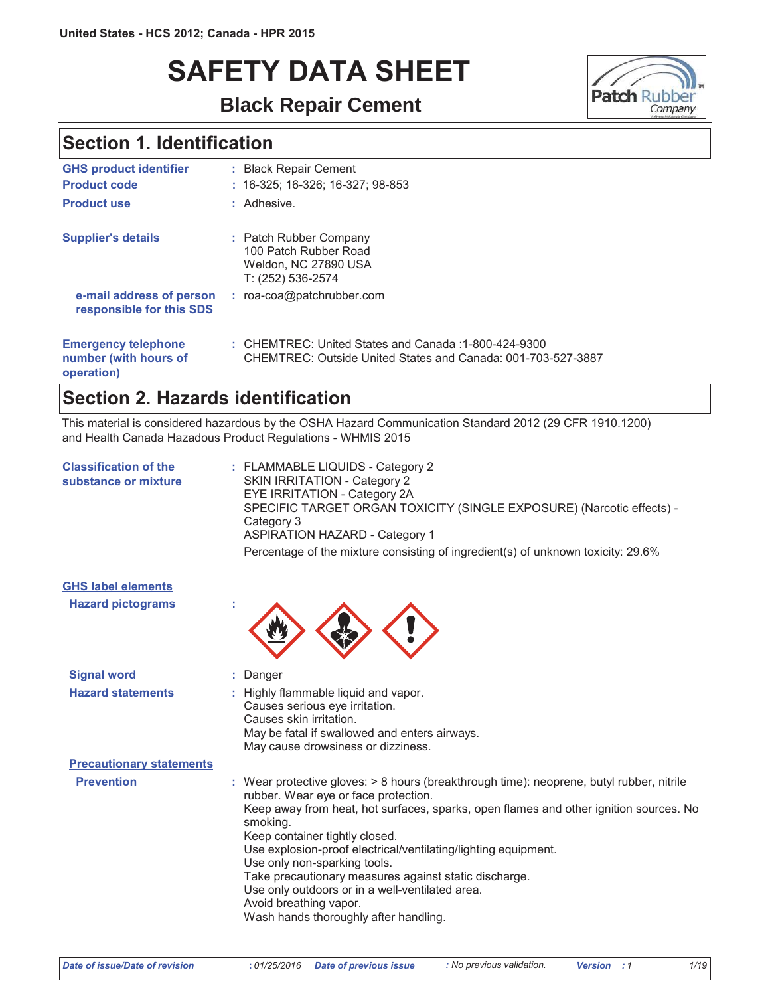# **SAFETY DATA SHEET**

**Black Repair Cement**



### **Section 1. Identification**

| <b>GHS product identifier</b>                                     | : Black Repair Cement                                                                                                |
|-------------------------------------------------------------------|----------------------------------------------------------------------------------------------------------------------|
| <b>Product code</b>                                               | $: 16-325: 16-326: 16-327: 98-853$                                                                                   |
| <b>Product use</b>                                                | : Adhesive.                                                                                                          |
| <b>Supplier's details</b>                                         | : Patch Rubber Company<br>100 Patch Rubber Road<br>Weldon, NC 27890 USA<br>T: (252) 536-2574                         |
| e-mail address of person<br>responsible for this SDS              | $:$ roa-coa@patchrubber.com                                                                                          |
| <b>Emergency telephone</b><br>number (with hours of<br>operation) | : CHEMTREC: United States and Canada: 1-800-424-9300<br>CHEMTREC: Outside United States and Canada: 001-703-527-3887 |

### **Section 2. Hazards identification**

This material is considered hazardous by the OSHA Hazard Communication Standard 2012 (29 CFR 1910.1200) and Health Canada Hazadous Product Regulations - WHMIS 2015

| <b>Classification of the</b><br>substance or mixture | : FLAMMABLE LIQUIDS - Category 2<br>SKIN IRRITATION - Category 2<br>EYE IRRITATION - Category 2A<br>SPECIFIC TARGET ORGAN TOXICITY (SINGLE EXPOSURE) (Narcotic effects) -<br>Category 3<br><b>ASPIRATION HAZARD - Category 1</b><br>Percentage of the mixture consisting of ingredient(s) of unknown toxicity: 29.6%                                                                                                                                                                                                                                     |
|------------------------------------------------------|----------------------------------------------------------------------------------------------------------------------------------------------------------------------------------------------------------------------------------------------------------------------------------------------------------------------------------------------------------------------------------------------------------------------------------------------------------------------------------------------------------------------------------------------------------|
| <b>GHS label elements</b>                            |                                                                                                                                                                                                                                                                                                                                                                                                                                                                                                                                                          |
| <b>Hazard pictograms</b>                             |                                                                                                                                                                                                                                                                                                                                                                                                                                                                                                                                                          |
| <b>Signal word</b>                                   | Danger                                                                                                                                                                                                                                                                                                                                                                                                                                                                                                                                                   |
| <b>Hazard statements</b>                             | : Highly flammable liquid and vapor.<br>Causes serious eye irritation.<br>Causes skin irritation.<br>May be fatal if swallowed and enters airways.<br>May cause drowsiness or dizziness.                                                                                                                                                                                                                                                                                                                                                                 |
| <b>Precautionary statements</b>                      |                                                                                                                                                                                                                                                                                                                                                                                                                                                                                                                                                          |
| <b>Prevention</b>                                    | : Wear protective gloves: > 8 hours (breakthrough time): neoprene, butyl rubber, nitrile<br>rubber. Wear eye or face protection.<br>Keep away from heat, hot surfaces, sparks, open flames and other ignition sources. No<br>smoking.<br>Keep container tightly closed.<br>Use explosion-proof electrical/ventilating/lighting equipment.<br>Use only non-sparking tools.<br>Take precautionary measures against static discharge.<br>Use only outdoors or in a well-ventilated area.<br>Avoid breathing vapor.<br>Wash hands thoroughly after handling. |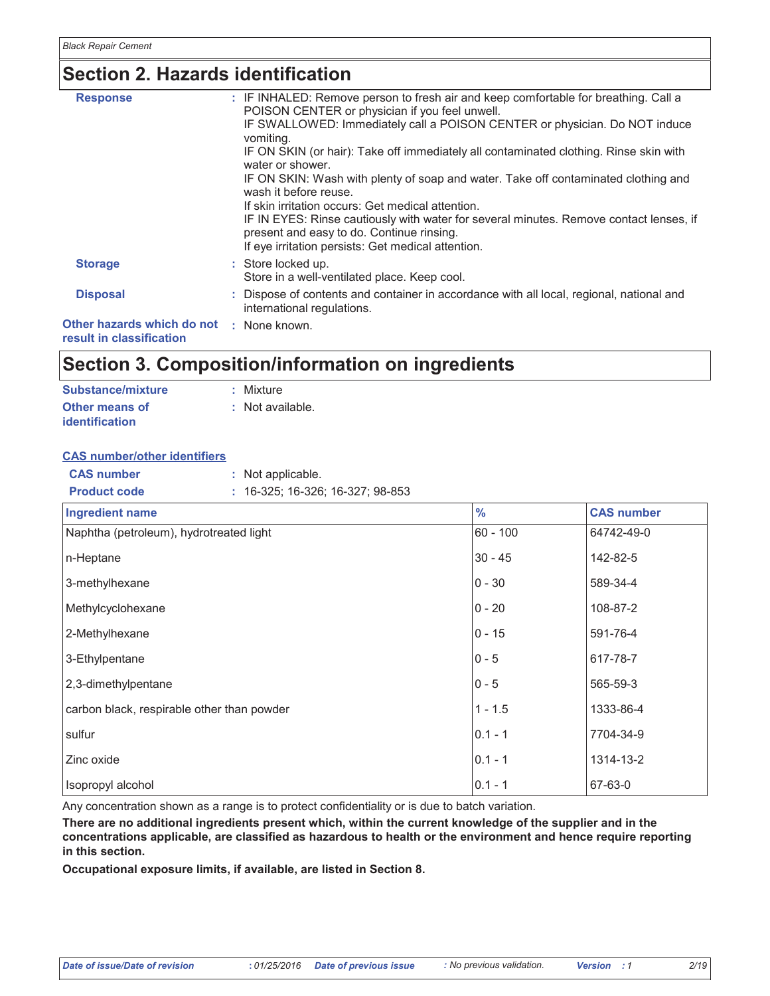### **Section 2. Hazards identification**

| <b>Response</b>                                        | : IF INHALED: Remove person to fresh air and keep comfortable for breathing. Call a<br>POISON CENTER or physician if you feel unwell.                                                     |
|--------------------------------------------------------|-------------------------------------------------------------------------------------------------------------------------------------------------------------------------------------------|
|                                                        | IF SWALLOWED: Immediately call a POISON CENTER or physician. Do NOT induce<br>vomiting.                                                                                                   |
|                                                        | IF ON SKIN (or hair): Take off immediately all contaminated clothing. Rinse skin with<br>water or shower.                                                                                 |
|                                                        | IF ON SKIN: Wash with plenty of soap and water. Take off contaminated clothing and<br>wash it before reuse.                                                                               |
|                                                        | If skin irritation occurs: Get medical attention.                                                                                                                                         |
|                                                        | IF IN EYES: Rinse cautiously with water for several minutes. Remove contact lenses, if<br>present and easy to do. Continue rinsing.<br>If eye irritation persists: Get medical attention. |
| <b>Storage</b>                                         | : Store locked up.<br>Store in a well-ventilated place. Keep cool.                                                                                                                        |
| <b>Disposal</b>                                        | : Dispose of contents and container in accordance with all local, regional, national and<br>international regulations.                                                                    |
| Other hazards which do not<br>result in classification | : None known.                                                                                                                                                                             |
|                                                        |                                                                                                                                                                                           |

### **Section 3. Composition/information on ingredients**

| Substance/mixture     | : Mixture        |
|-----------------------|------------------|
| <b>Other means of</b> | : Not available. |
| <i>identification</i> |                  |

#### **CAS** number/other identifiers

| <b>CAS</b> number   | : Not applicable.                  |
|---------------------|------------------------------------|
| <b>Product code</b> | $: 16-325; 16-326; 16-327; 98-853$ |

| Ingredient name                            | $\frac{0}{0}$ | <b>CAS number</b> |
|--------------------------------------------|---------------|-------------------|
| Naphtha (petroleum), hydrotreated light    | $60 - 100$    | 64742-49-0        |
| n-Heptane                                  | $30 - 45$     | 142-82-5          |
| 3-methylhexane                             | $0 - 30$      | 589-34-4          |
| Methylcyclohexane                          | $0 - 20$      | 108-87-2          |
| 2-Methylhexane                             | $0 - 15$      | 591-76-4          |
| 3-Ethylpentane                             | $0 - 5$       | 617-78-7          |
| 2,3-dimethylpentane                        | $0 - 5$       | 565-59-3          |
| carbon black, respirable other than powder | $1 - 1.5$     | 1333-86-4         |
| sulfur                                     | $0.1 - 1$     | 7704-34-9         |
| Zinc oxide                                 | $0.1 - 1$     | 1314-13-2         |
| Isopropyl alcohol                          | $0.1 - 1$     | 67-63-0           |

Any concentration shown as a range is to protect confidentiality or is due to batch variation.

There are no additional ingredients present which, within the current knowledge of the supplier and in the concentrations applicable, are classified as hazardous to health or the environment and hence require reporting in this section.

Occupational exposure limits, if available, are listed in Section 8.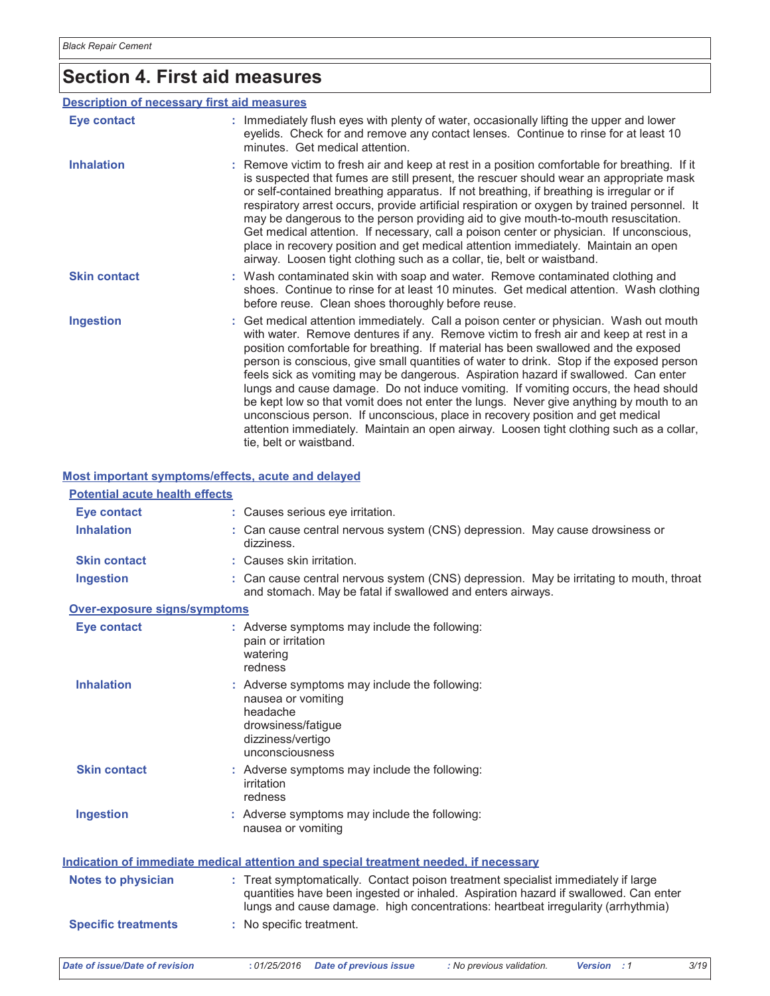# **Section 4. First aid measures**

#### **Description of necessary first aid measures**

| Eye contact         | : Immediately flush eyes with plenty of water, occasionally lifting the upper and lower<br>eyelids. Check for and remove any contact lenses. Continue to rinse for at least 10<br>minutes. Get medical attention.                                                                                                                                                                                                                                                                                                                                                                                                                                                                                                                                                                                                                               |
|---------------------|-------------------------------------------------------------------------------------------------------------------------------------------------------------------------------------------------------------------------------------------------------------------------------------------------------------------------------------------------------------------------------------------------------------------------------------------------------------------------------------------------------------------------------------------------------------------------------------------------------------------------------------------------------------------------------------------------------------------------------------------------------------------------------------------------------------------------------------------------|
| <b>Inhalation</b>   | : Remove victim to fresh air and keep at rest in a position comfortable for breathing. If it<br>is suspected that fumes are still present, the rescuer should wear an appropriate mask<br>or self-contained breathing apparatus. If not breathing, if breathing is irregular or if<br>respiratory arrest occurs, provide artificial respiration or oxygen by trained personnel. It<br>may be dangerous to the person providing aid to give mouth-to-mouth resuscitation.<br>Get medical attention. If necessary, call a poison center or physician. If unconscious,<br>place in recovery position and get medical attention immediately. Maintain an open<br>airway. Loosen tight clothing such as a collar, tie, belt or waistband.                                                                                                            |
| <b>Skin contact</b> | : Wash contaminated skin with soap and water. Remove contaminated clothing and<br>shoes. Continue to rinse for at least 10 minutes. Get medical attention. Wash clothing<br>before reuse. Clean shoes thoroughly before reuse.                                                                                                                                                                                                                                                                                                                                                                                                                                                                                                                                                                                                                  |
| <b>Ingestion</b>    | : Get medical attention immediately. Call a poison center or physician. Wash out mouth<br>with water. Remove dentures if any. Remove victim to fresh air and keep at rest in a<br>position comfortable for breathing. If material has been swallowed and the exposed<br>person is conscious, give small quantities of water to drink. Stop if the exposed person<br>feels sick as vomiting may be dangerous. Aspiration hazard if swallowed. Can enter<br>lungs and cause damage. Do not induce vomiting. If vomiting occurs, the head should<br>be kept low so that vomit does not enter the lungs. Never give anything by mouth to an<br>unconscious person. If unconscious, place in recovery position and get medical<br>attention immediately. Maintain an open airway. Loosen tight clothing such as a collar,<br>tie, belt or waistband. |

#### Most important symptoms/effects, acute and delayed

| <b>Potential acute health effects</b> |                                                                                                                                                                                                                                                              |
|---------------------------------------|--------------------------------------------------------------------------------------------------------------------------------------------------------------------------------------------------------------------------------------------------------------|
| Eye contact                           | : Causes serious eye irritation.                                                                                                                                                                                                                             |
| <b>Inhalation</b>                     | : Can cause central nervous system (CNS) depression. May cause drowsiness or<br>dizziness.                                                                                                                                                                   |
| <b>Skin contact</b>                   | : Causes skin irritation.                                                                                                                                                                                                                                    |
| <b>Ingestion</b>                      | : Can cause central nervous system (CNS) depression. May be irritating to mouth, throat<br>and stomach. May be fatal if swallowed and enters airways.                                                                                                        |
| Over-exposure signs/symptoms          |                                                                                                                                                                                                                                                              |
| <b>Eye contact</b>                    | : Adverse symptoms may include the following:<br>pain or irritation<br>watering<br>redness                                                                                                                                                                   |
| <b>Inhalation</b>                     | : Adverse symptoms may include the following:<br>nausea or vomiting<br>headache<br>drowsiness/fatigue<br>dizziness/vertigo<br>unconsciousness                                                                                                                |
| <b>Skin contact</b>                   | : Adverse symptoms may include the following:<br>irritation<br>redness                                                                                                                                                                                       |
| <b>Ingestion</b>                      | : Adverse symptoms may include the following:<br>nausea or vomiting                                                                                                                                                                                          |
|                                       | Indication of immediate medical attention and special treatment needed, if necessary                                                                                                                                                                         |
| <b>Notes to physician</b>             | : Treat symptomatically. Contact poison treatment specialist immediately if large<br>quantities have been ingested or inhaled. Aspiration hazard if swallowed. Can enter<br>lungs and cause damage. high concentrations: heartbeat irregularity (arrhythmia) |
| <b>Specific treatments</b>            | : No specific treatment.                                                                                                                                                                                                                                     |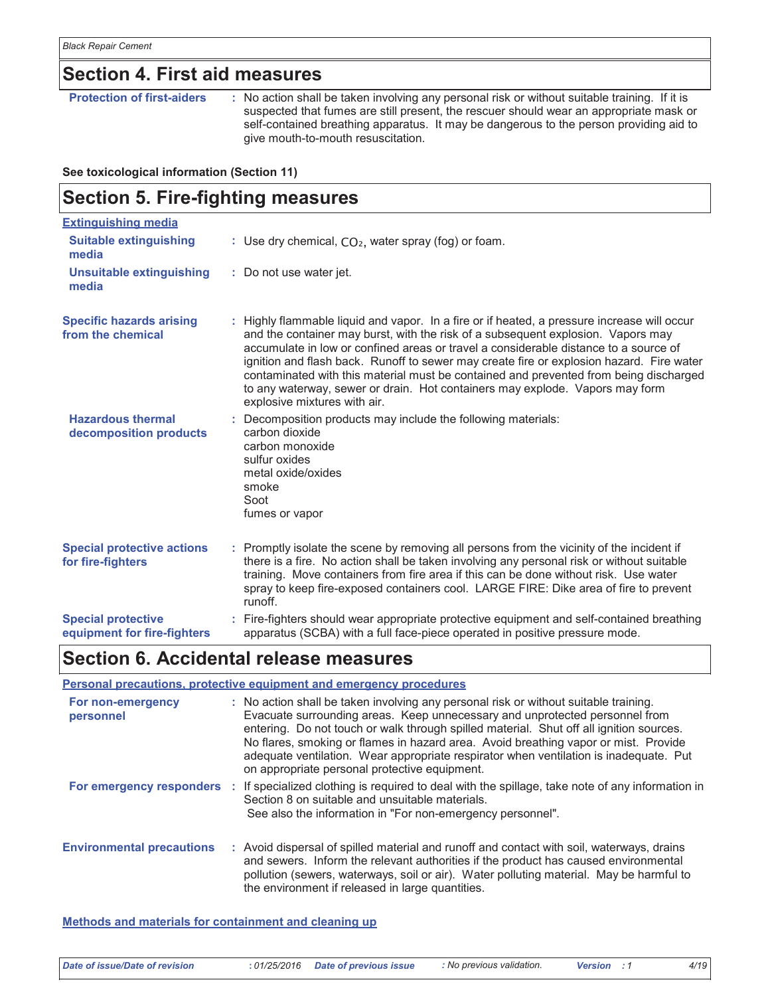### **Section 4. First aid measures**

**Protection of first-aiders** : No action shall be taken involving any personal risk or without suitable training. If it is suspected that fumes are still present, the rescuer should wear an appropriate mask or self-contained breathing apparatus. It may be dangerous to the person providing aid to give mouth-to-mouth resuscitation.

#### See toxicological information (Section 11)

| <b>Section 5. Fire-fighting measures</b>                 |                                                                                                                                                                                                                                                                                                                                                                                                                                                                                                                                                                              |  |
|----------------------------------------------------------|------------------------------------------------------------------------------------------------------------------------------------------------------------------------------------------------------------------------------------------------------------------------------------------------------------------------------------------------------------------------------------------------------------------------------------------------------------------------------------------------------------------------------------------------------------------------------|--|
| <b>Extinguishing media</b>                               |                                                                                                                                                                                                                                                                                                                                                                                                                                                                                                                                                                              |  |
| <b>Suitable extinguishing</b><br>media                   | : Use dry chemical, $CO2$ , water spray (fog) or foam.                                                                                                                                                                                                                                                                                                                                                                                                                                                                                                                       |  |
| <b>Unsuitable extinguishing</b><br>media                 | : Do not use water jet.                                                                                                                                                                                                                                                                                                                                                                                                                                                                                                                                                      |  |
| <b>Specific hazards arising</b><br>from the chemical     | : Highly flammable liquid and vapor. In a fire or if heated, a pressure increase will occur<br>and the container may burst, with the risk of a subsequent explosion. Vapors may<br>accumulate in low or confined areas or travel a considerable distance to a source of<br>ignition and flash back. Runoff to sewer may create fire or explosion hazard. Fire water<br>contaminated with this material must be contained and prevented from being discharged<br>to any waterway, sewer or drain. Hot containers may explode. Vapors may form<br>explosive mixtures with air. |  |
| <b>Hazardous thermal</b><br>decomposition products       | : Decomposition products may include the following materials:<br>carbon dioxide<br>carbon monoxide<br>sulfur oxides<br>metal oxide/oxides<br>smoke<br>Soot<br>fumes or vapor                                                                                                                                                                                                                                                                                                                                                                                                 |  |
| <b>Special protective actions</b><br>for fire-fighters   | : Promptly isolate the scene by removing all persons from the vicinity of the incident if<br>there is a fire. No action shall be taken involving any personal risk or without suitable<br>training. Move containers from fire area if this can be done without risk. Use water<br>spray to keep fire-exposed containers cool. LARGE FIRE: Dike area of fire to prevent<br>runoff.                                                                                                                                                                                            |  |
| <b>Special protective</b><br>equipment for fire-fighters | : Fire-fighters should wear appropriate protective equipment and self-contained breathing<br>apparatus (SCBA) with a full face-piece operated in positive pressure mode.                                                                                                                                                                                                                                                                                                                                                                                                     |  |

### **Section 6. Accidental release measures**

#### Personal precautions, protective equipment and emergency procedures For non-emergency : No action shall be taken involving any personal risk or without suitable training. Evacuate surrounding areas. Keep unnecessary and unprotected personnel from personnel entering. Do not touch or walk through spilled material. Shut off all ignition sources. No flares, smoking or flames in hazard area. Avoid breathing vapor or mist. Provide adequate ventilation. Wear appropriate respirator when ventilation is inadequate. Put on appropriate personal protective equipment. For emergency responders : If specialized clothing is required to deal with the spillage, take note of any information in Section 8 on suitable and unsuitable materials. See also the information in "For non-emergency personnel". **Environmental precautions** : Avoid dispersal of spilled material and runoff and contact with soil, waterways, drains and sewers. Inform the relevant authorities if the product has caused environmental pollution (sewers, waterways, soil or air). Water polluting material. May be harmful to the environment if released in large quantities.

Methods and materials for containment and cleaning up

| Date of issue/Date of revision | : 01/25/2016 Date of previous issue | : No previous validation. | Version : 1 |
|--------------------------------|-------------------------------------|---------------------------|-------------|
|--------------------------------|-------------------------------------|---------------------------|-------------|

 $4/19$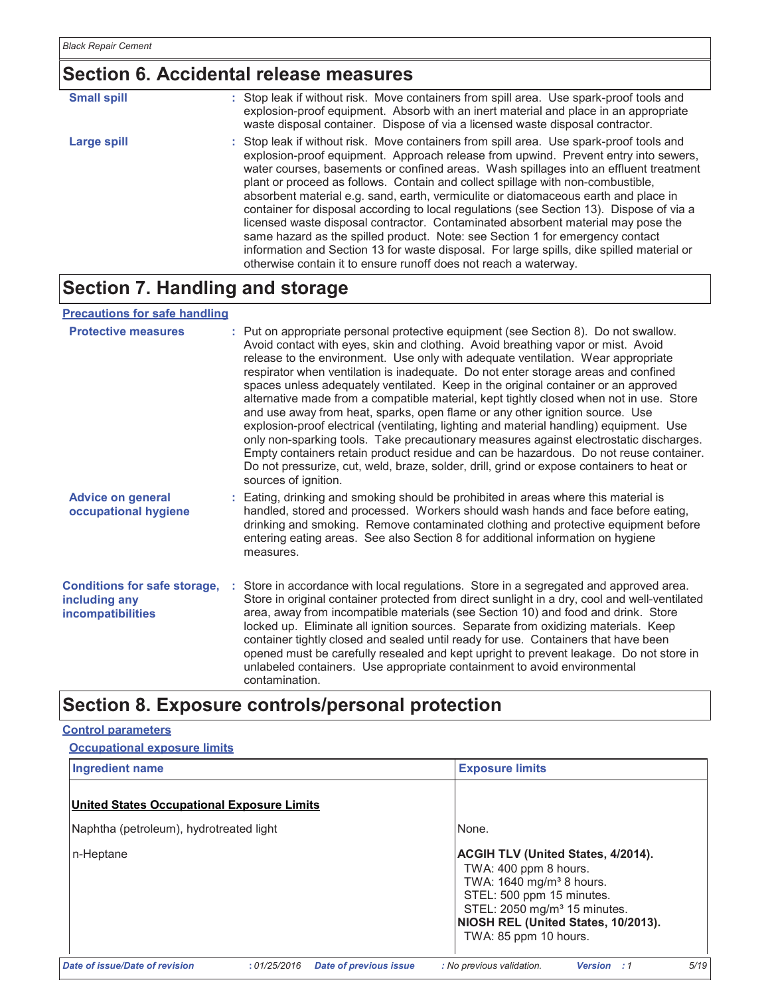# Section 6. Accidental release measures

| <b>Small spill</b> | : Stop leak if without risk. Move containers from spill area. Use spark-proof tools and<br>explosion-proof equipment. Absorb with an inert material and place in an appropriate<br>waste disposal container. Dispose of via a licensed waste disposal contractor.                                                                                                                                                                                                                                                                                                                                                                                                                                                                                                                                                                                                                   |
|--------------------|-------------------------------------------------------------------------------------------------------------------------------------------------------------------------------------------------------------------------------------------------------------------------------------------------------------------------------------------------------------------------------------------------------------------------------------------------------------------------------------------------------------------------------------------------------------------------------------------------------------------------------------------------------------------------------------------------------------------------------------------------------------------------------------------------------------------------------------------------------------------------------------|
| <b>Large spill</b> | : Stop leak if without risk. Move containers from spill area. Use spark-proof tools and<br>explosion-proof equipment. Approach release from upwind. Prevent entry into sewers,<br>water courses, basements or confined areas. Wash spillages into an effluent treatment<br>plant or proceed as follows. Contain and collect spillage with non-combustible,<br>absorbent material e.g. sand, earth, vermiculite or diatomaceous earth and place in<br>container for disposal according to local regulations (see Section 13). Dispose of via a<br>licensed waste disposal contractor. Contaminated absorbent material may pose the<br>same hazard as the spilled product. Note: see Section 1 for emergency contact<br>information and Section 13 for waste disposal. For large spills, dike spilled material or<br>otherwise contain it to ensure runoff does not reach a waterway. |

# **Section 7. Handling and storage**

#### **Precautions for safe handling**

| <b>Protective measures</b>                                                       | : Put on appropriate personal protective equipment (see Section 8). Do not swallow.<br>Avoid contact with eyes, skin and clothing. Avoid breathing vapor or mist. Avoid<br>release to the environment. Use only with adequate ventilation. Wear appropriate<br>respirator when ventilation is inadequate. Do not enter storage areas and confined<br>spaces unless adequately ventilated. Keep in the original container or an approved<br>alternative made from a compatible material, kept tightly closed when not in use. Store<br>and use away from heat, sparks, open flame or any other ignition source. Use<br>explosion-proof electrical (ventilating, lighting and material handling) equipment. Use<br>only non-sparking tools. Take precautionary measures against electrostatic discharges.<br>Empty containers retain product residue and can be hazardous. Do not reuse container.<br>Do not pressurize, cut, weld, braze, solder, drill, grind or expose containers to heat or<br>sources of ignition. |
|----------------------------------------------------------------------------------|-----------------------------------------------------------------------------------------------------------------------------------------------------------------------------------------------------------------------------------------------------------------------------------------------------------------------------------------------------------------------------------------------------------------------------------------------------------------------------------------------------------------------------------------------------------------------------------------------------------------------------------------------------------------------------------------------------------------------------------------------------------------------------------------------------------------------------------------------------------------------------------------------------------------------------------------------------------------------------------------------------------------------|
| <b>Advice on general</b><br>occupational hygiene                                 | : Eating, drinking and smoking should be prohibited in areas where this material is<br>handled, stored and processed. Workers should wash hands and face before eating,<br>drinking and smoking. Remove contaminated clothing and protective equipment before<br>entering eating areas. See also Section 8 for additional information on hygiene<br>measures.                                                                                                                                                                                                                                                                                                                                                                                                                                                                                                                                                                                                                                                         |
| <b>Conditions for safe storage,</b><br>including any<br><b>incompatibilities</b> | Store in accordance with local regulations. Store in a segregated and approved area.<br>Store in original container protected from direct sunlight in a dry, cool and well-ventilated<br>area, away from incompatible materials (see Section 10) and food and drink. Store<br>locked up. Eliminate all ignition sources. Separate from oxidizing materials. Keep<br>container tightly closed and sealed until ready for use. Containers that have been<br>opened must be carefully resealed and kept upright to prevent leakage. Do not store in<br>unlabeled containers. Use appropriate containment to avoid environmental<br>contamination.                                                                                                                                                                                                                                                                                                                                                                        |

# Section 8. Exposure controls/personal protection

#### **Control parameters**

| <b>Occupational exposure limits</b> |  |  |
|-------------------------------------|--|--|
|-------------------------------------|--|--|

| <b>Ingredient name</b>                            |                                              | <b>Exposure limits</b>                                                                                                                                                                                                                              |
|---------------------------------------------------|----------------------------------------------|-----------------------------------------------------------------------------------------------------------------------------------------------------------------------------------------------------------------------------------------------------|
| <b>United States Occupational Exposure Limits</b> |                                              |                                                                                                                                                                                                                                                     |
| Naphtha (petroleum), hydrotreated light           |                                              | None.                                                                                                                                                                                                                                               |
| n-Heptane                                         |                                              | <b>ACGIH TLV (United States, 4/2014).</b><br>TWA: 400 ppm 8 hours.<br>TWA: 1640 mg/m <sup>3</sup> 8 hours.<br>STEL: 500 ppm 15 minutes.<br>STEL: 2050 mg/m <sup>3</sup> 15 minutes.<br>NIOSH REL (United States, 10/2013).<br>TWA: 85 ppm 10 hours. |
| Date of issue/Date of revision                    | :01/25/2016<br><b>Date of previous issue</b> | : No previous validation.<br>5/19<br><b>Version</b> : 1                                                                                                                                                                                             |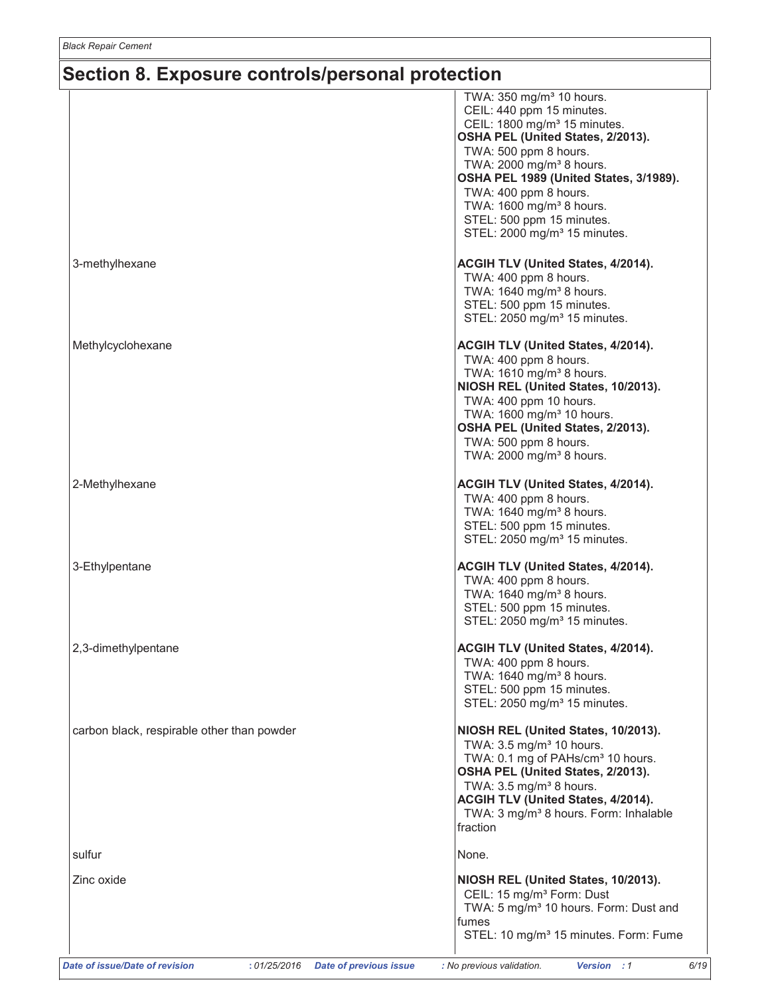| CEIL: 440 ppm 15 minutes.<br>CEIL: 1800 mg/m <sup>3</sup> 15 minutes.<br>OSHA PEL (United States, 2/2013).<br>TWA: 500 ppm 8 hours.<br>TWA: 2000 mg/m <sup>3</sup> 8 hours.<br>OSHA PEL 1989 (United States, 3/1989).<br>TWA: 400 ppm 8 hours.<br>TWA: 1600 mg/m <sup>3</sup> 8 hours.<br>STEL: 500 ppm 15 minutes.<br>STEL: 2000 mg/m <sup>3</sup> 15 minutes.<br>3-methylhexane<br>ACGIH TLV (United States, 4/2014).<br>TWA: 400 ppm 8 hours.<br>TWA: 1640 mg/m <sup>3</sup> 8 hours.<br>STEL: 500 ppm 15 minutes.<br>STEL: 2050 mg/m <sup>3</sup> 15 minutes.<br>Methylcyclohexane<br>ACGIH TLV (United States, 4/2014).<br>TWA: 400 ppm 8 hours.<br>TWA: 1610 mg/m <sup>3</sup> 8 hours.<br>NIOSH REL (United States, 10/2013).<br>TWA: 400 ppm 10 hours.<br>TWA: 1600 mg/m <sup>3</sup> 10 hours.<br>OSHA PEL (United States, 2/2013).<br>TWA: 500 ppm 8 hours.<br>TWA: 2000 mg/m <sup>3</sup> 8 hours.<br>2-Methylhexane<br>ACGIH TLV (United States, 4/2014).<br>TWA: 400 ppm 8 hours.<br>TWA: 1640 mg/m <sup>3</sup> 8 hours.<br>STEL: 500 ppm 15 minutes.<br>STEL: 2050 mg/m <sup>3</sup> 15 minutes.<br>3-Ethylpentane<br><b>ACGIH TLV (United States, 4/2014).</b><br>TWA: 400 ppm 8 hours.<br>TWA: 1640 mg/m <sup>3</sup> 8 hours.<br>STEL: 500 ppm 15 minutes.<br>STEL: 2050 mg/m <sup>3</sup> 15 minutes.<br>2,3-dimethylpentane<br><b>ACGIH TLV (United States, 4/2014).</b><br>TWA: 400 ppm 8 hours.<br>TWA: 1640 mg/m <sup>3</sup> 8 hours.<br>STEL: 500 ppm 15 minutes.<br>STEL: 2050 mg/m <sup>3</sup> 15 minutes.<br>carbon black, respirable other than powder<br>NIOSH REL (United States, 10/2013).<br>TWA: 3.5 mg/m <sup>3</sup> 10 hours.<br>TWA: 0.1 mg of PAHs/cm <sup>3</sup> 10 hours.<br>OSHA PEL (United States, 2/2013).<br>TWA: $3.5 \text{ mg/m}^3$ 8 hours.<br>ACGIH TLV (United States, 4/2014).<br>TWA: 3 mg/m <sup>3</sup> 8 hours. Form: Inhalable<br>fraction<br>sulfur<br>None. | TWA: 350 mg/m <sup>3</sup> 10 hours. |
|---------------------------------------------------------------------------------------------------------------------------------------------------------------------------------------------------------------------------------------------------------------------------------------------------------------------------------------------------------------------------------------------------------------------------------------------------------------------------------------------------------------------------------------------------------------------------------------------------------------------------------------------------------------------------------------------------------------------------------------------------------------------------------------------------------------------------------------------------------------------------------------------------------------------------------------------------------------------------------------------------------------------------------------------------------------------------------------------------------------------------------------------------------------------------------------------------------------------------------------------------------------------------------------------------------------------------------------------------------------------------------------------------------------------------------------------------------------------------------------------------------------------------------------------------------------------------------------------------------------------------------------------------------------------------------------------------------------------------------------------------------------------------------------------------------------------------------------------------------------------------------------------------------------------------|--------------------------------------|
|                                                                                                                                                                                                                                                                                                                                                                                                                                                                                                                                                                                                                                                                                                                                                                                                                                                                                                                                                                                                                                                                                                                                                                                                                                                                                                                                                                                                                                                                                                                                                                                                                                                                                                                                                                                                                                                                                                                           |                                      |
|                                                                                                                                                                                                                                                                                                                                                                                                                                                                                                                                                                                                                                                                                                                                                                                                                                                                                                                                                                                                                                                                                                                                                                                                                                                                                                                                                                                                                                                                                                                                                                                                                                                                                                                                                                                                                                                                                                                           |                                      |
|                                                                                                                                                                                                                                                                                                                                                                                                                                                                                                                                                                                                                                                                                                                                                                                                                                                                                                                                                                                                                                                                                                                                                                                                                                                                                                                                                                                                                                                                                                                                                                                                                                                                                                                                                                                                                                                                                                                           |                                      |
|                                                                                                                                                                                                                                                                                                                                                                                                                                                                                                                                                                                                                                                                                                                                                                                                                                                                                                                                                                                                                                                                                                                                                                                                                                                                                                                                                                                                                                                                                                                                                                                                                                                                                                                                                                                                                                                                                                                           |                                      |
|                                                                                                                                                                                                                                                                                                                                                                                                                                                                                                                                                                                                                                                                                                                                                                                                                                                                                                                                                                                                                                                                                                                                                                                                                                                                                                                                                                                                                                                                                                                                                                                                                                                                                                                                                                                                                                                                                                                           |                                      |
|                                                                                                                                                                                                                                                                                                                                                                                                                                                                                                                                                                                                                                                                                                                                                                                                                                                                                                                                                                                                                                                                                                                                                                                                                                                                                                                                                                                                                                                                                                                                                                                                                                                                                                                                                                                                                                                                                                                           |                                      |
|                                                                                                                                                                                                                                                                                                                                                                                                                                                                                                                                                                                                                                                                                                                                                                                                                                                                                                                                                                                                                                                                                                                                                                                                                                                                                                                                                                                                                                                                                                                                                                                                                                                                                                                                                                                                                                                                                                                           |                                      |
|                                                                                                                                                                                                                                                                                                                                                                                                                                                                                                                                                                                                                                                                                                                                                                                                                                                                                                                                                                                                                                                                                                                                                                                                                                                                                                                                                                                                                                                                                                                                                                                                                                                                                                                                                                                                                                                                                                                           |                                      |
|                                                                                                                                                                                                                                                                                                                                                                                                                                                                                                                                                                                                                                                                                                                                                                                                                                                                                                                                                                                                                                                                                                                                                                                                                                                                                                                                                                                                                                                                                                                                                                                                                                                                                                                                                                                                                                                                                                                           |                                      |
|                                                                                                                                                                                                                                                                                                                                                                                                                                                                                                                                                                                                                                                                                                                                                                                                                                                                                                                                                                                                                                                                                                                                                                                                                                                                                                                                                                                                                                                                                                                                                                                                                                                                                                                                                                                                                                                                                                                           |                                      |
|                                                                                                                                                                                                                                                                                                                                                                                                                                                                                                                                                                                                                                                                                                                                                                                                                                                                                                                                                                                                                                                                                                                                                                                                                                                                                                                                                                                                                                                                                                                                                                                                                                                                                                                                                                                                                                                                                                                           |                                      |
|                                                                                                                                                                                                                                                                                                                                                                                                                                                                                                                                                                                                                                                                                                                                                                                                                                                                                                                                                                                                                                                                                                                                                                                                                                                                                                                                                                                                                                                                                                                                                                                                                                                                                                                                                                                                                                                                                                                           |                                      |
|                                                                                                                                                                                                                                                                                                                                                                                                                                                                                                                                                                                                                                                                                                                                                                                                                                                                                                                                                                                                                                                                                                                                                                                                                                                                                                                                                                                                                                                                                                                                                                                                                                                                                                                                                                                                                                                                                                                           |                                      |
|                                                                                                                                                                                                                                                                                                                                                                                                                                                                                                                                                                                                                                                                                                                                                                                                                                                                                                                                                                                                                                                                                                                                                                                                                                                                                                                                                                                                                                                                                                                                                                                                                                                                                                                                                                                                                                                                                                                           |                                      |
|                                                                                                                                                                                                                                                                                                                                                                                                                                                                                                                                                                                                                                                                                                                                                                                                                                                                                                                                                                                                                                                                                                                                                                                                                                                                                                                                                                                                                                                                                                                                                                                                                                                                                                                                                                                                                                                                                                                           |                                      |
|                                                                                                                                                                                                                                                                                                                                                                                                                                                                                                                                                                                                                                                                                                                                                                                                                                                                                                                                                                                                                                                                                                                                                                                                                                                                                                                                                                                                                                                                                                                                                                                                                                                                                                                                                                                                                                                                                                                           |                                      |
|                                                                                                                                                                                                                                                                                                                                                                                                                                                                                                                                                                                                                                                                                                                                                                                                                                                                                                                                                                                                                                                                                                                                                                                                                                                                                                                                                                                                                                                                                                                                                                                                                                                                                                                                                                                                                                                                                                                           |                                      |
|                                                                                                                                                                                                                                                                                                                                                                                                                                                                                                                                                                                                                                                                                                                                                                                                                                                                                                                                                                                                                                                                                                                                                                                                                                                                                                                                                                                                                                                                                                                                                                                                                                                                                                                                                                                                                                                                                                                           |                                      |
|                                                                                                                                                                                                                                                                                                                                                                                                                                                                                                                                                                                                                                                                                                                                                                                                                                                                                                                                                                                                                                                                                                                                                                                                                                                                                                                                                                                                                                                                                                                                                                                                                                                                                                                                                                                                                                                                                                                           |                                      |
|                                                                                                                                                                                                                                                                                                                                                                                                                                                                                                                                                                                                                                                                                                                                                                                                                                                                                                                                                                                                                                                                                                                                                                                                                                                                                                                                                                                                                                                                                                                                                                                                                                                                                                                                                                                                                                                                                                                           |                                      |
|                                                                                                                                                                                                                                                                                                                                                                                                                                                                                                                                                                                                                                                                                                                                                                                                                                                                                                                                                                                                                                                                                                                                                                                                                                                                                                                                                                                                                                                                                                                                                                                                                                                                                                                                                                                                                                                                                                                           |                                      |
|                                                                                                                                                                                                                                                                                                                                                                                                                                                                                                                                                                                                                                                                                                                                                                                                                                                                                                                                                                                                                                                                                                                                                                                                                                                                                                                                                                                                                                                                                                                                                                                                                                                                                                                                                                                                                                                                                                                           |                                      |
|                                                                                                                                                                                                                                                                                                                                                                                                                                                                                                                                                                                                                                                                                                                                                                                                                                                                                                                                                                                                                                                                                                                                                                                                                                                                                                                                                                                                                                                                                                                                                                                                                                                                                                                                                                                                                                                                                                                           |                                      |
|                                                                                                                                                                                                                                                                                                                                                                                                                                                                                                                                                                                                                                                                                                                                                                                                                                                                                                                                                                                                                                                                                                                                                                                                                                                                                                                                                                                                                                                                                                                                                                                                                                                                                                                                                                                                                                                                                                                           |                                      |
|                                                                                                                                                                                                                                                                                                                                                                                                                                                                                                                                                                                                                                                                                                                                                                                                                                                                                                                                                                                                                                                                                                                                                                                                                                                                                                                                                                                                                                                                                                                                                                                                                                                                                                                                                                                                                                                                                                                           |                                      |
|                                                                                                                                                                                                                                                                                                                                                                                                                                                                                                                                                                                                                                                                                                                                                                                                                                                                                                                                                                                                                                                                                                                                                                                                                                                                                                                                                                                                                                                                                                                                                                                                                                                                                                                                                                                                                                                                                                                           |                                      |
|                                                                                                                                                                                                                                                                                                                                                                                                                                                                                                                                                                                                                                                                                                                                                                                                                                                                                                                                                                                                                                                                                                                                                                                                                                                                                                                                                                                                                                                                                                                                                                                                                                                                                                                                                                                                                                                                                                                           |                                      |
|                                                                                                                                                                                                                                                                                                                                                                                                                                                                                                                                                                                                                                                                                                                                                                                                                                                                                                                                                                                                                                                                                                                                                                                                                                                                                                                                                                                                                                                                                                                                                                                                                                                                                                                                                                                                                                                                                                                           |                                      |
|                                                                                                                                                                                                                                                                                                                                                                                                                                                                                                                                                                                                                                                                                                                                                                                                                                                                                                                                                                                                                                                                                                                                                                                                                                                                                                                                                                                                                                                                                                                                                                                                                                                                                                                                                                                                                                                                                                                           |                                      |
|                                                                                                                                                                                                                                                                                                                                                                                                                                                                                                                                                                                                                                                                                                                                                                                                                                                                                                                                                                                                                                                                                                                                                                                                                                                                                                                                                                                                                                                                                                                                                                                                                                                                                                                                                                                                                                                                                                                           |                                      |
|                                                                                                                                                                                                                                                                                                                                                                                                                                                                                                                                                                                                                                                                                                                                                                                                                                                                                                                                                                                                                                                                                                                                                                                                                                                                                                                                                                                                                                                                                                                                                                                                                                                                                                                                                                                                                                                                                                                           |                                      |
|                                                                                                                                                                                                                                                                                                                                                                                                                                                                                                                                                                                                                                                                                                                                                                                                                                                                                                                                                                                                                                                                                                                                                                                                                                                                                                                                                                                                                                                                                                                                                                                                                                                                                                                                                                                                                                                                                                                           |                                      |
|                                                                                                                                                                                                                                                                                                                                                                                                                                                                                                                                                                                                                                                                                                                                                                                                                                                                                                                                                                                                                                                                                                                                                                                                                                                                                                                                                                                                                                                                                                                                                                                                                                                                                                                                                                                                                                                                                                                           |                                      |
|                                                                                                                                                                                                                                                                                                                                                                                                                                                                                                                                                                                                                                                                                                                                                                                                                                                                                                                                                                                                                                                                                                                                                                                                                                                                                                                                                                                                                                                                                                                                                                                                                                                                                                                                                                                                                                                                                                                           |                                      |
|                                                                                                                                                                                                                                                                                                                                                                                                                                                                                                                                                                                                                                                                                                                                                                                                                                                                                                                                                                                                                                                                                                                                                                                                                                                                                                                                                                                                                                                                                                                                                                                                                                                                                                                                                                                                                                                                                                                           |                                      |
|                                                                                                                                                                                                                                                                                                                                                                                                                                                                                                                                                                                                                                                                                                                                                                                                                                                                                                                                                                                                                                                                                                                                                                                                                                                                                                                                                                                                                                                                                                                                                                                                                                                                                                                                                                                                                                                                                                                           |                                      |
|                                                                                                                                                                                                                                                                                                                                                                                                                                                                                                                                                                                                                                                                                                                                                                                                                                                                                                                                                                                                                                                                                                                                                                                                                                                                                                                                                                                                                                                                                                                                                                                                                                                                                                                                                                                                                                                                                                                           |                                      |
|                                                                                                                                                                                                                                                                                                                                                                                                                                                                                                                                                                                                                                                                                                                                                                                                                                                                                                                                                                                                                                                                                                                                                                                                                                                                                                                                                                                                                                                                                                                                                                                                                                                                                                                                                                                                                                                                                                                           |                                      |
|                                                                                                                                                                                                                                                                                                                                                                                                                                                                                                                                                                                                                                                                                                                                                                                                                                                                                                                                                                                                                                                                                                                                                                                                                                                                                                                                                                                                                                                                                                                                                                                                                                                                                                                                                                                                                                                                                                                           |                                      |
|                                                                                                                                                                                                                                                                                                                                                                                                                                                                                                                                                                                                                                                                                                                                                                                                                                                                                                                                                                                                                                                                                                                                                                                                                                                                                                                                                                                                                                                                                                                                                                                                                                                                                                                                                                                                                                                                                                                           |                                      |
|                                                                                                                                                                                                                                                                                                                                                                                                                                                                                                                                                                                                                                                                                                                                                                                                                                                                                                                                                                                                                                                                                                                                                                                                                                                                                                                                                                                                                                                                                                                                                                                                                                                                                                                                                                                                                                                                                                                           |                                      |
|                                                                                                                                                                                                                                                                                                                                                                                                                                                                                                                                                                                                                                                                                                                                                                                                                                                                                                                                                                                                                                                                                                                                                                                                                                                                                                                                                                                                                                                                                                                                                                                                                                                                                                                                                                                                                                                                                                                           |                                      |
|                                                                                                                                                                                                                                                                                                                                                                                                                                                                                                                                                                                                                                                                                                                                                                                                                                                                                                                                                                                                                                                                                                                                                                                                                                                                                                                                                                                                                                                                                                                                                                                                                                                                                                                                                                                                                                                                                                                           |                                      |
|                                                                                                                                                                                                                                                                                                                                                                                                                                                                                                                                                                                                                                                                                                                                                                                                                                                                                                                                                                                                                                                                                                                                                                                                                                                                                                                                                                                                                                                                                                                                                                                                                                                                                                                                                                                                                                                                                                                           |                                      |
|                                                                                                                                                                                                                                                                                                                                                                                                                                                                                                                                                                                                                                                                                                                                                                                                                                                                                                                                                                                                                                                                                                                                                                                                                                                                                                                                                                                                                                                                                                                                                                                                                                                                                                                                                                                                                                                                                                                           |                                      |
|                                                                                                                                                                                                                                                                                                                                                                                                                                                                                                                                                                                                                                                                                                                                                                                                                                                                                                                                                                                                                                                                                                                                                                                                                                                                                                                                                                                                                                                                                                                                                                                                                                                                                                                                                                                                                                                                                                                           |                                      |
|                                                                                                                                                                                                                                                                                                                                                                                                                                                                                                                                                                                                                                                                                                                                                                                                                                                                                                                                                                                                                                                                                                                                                                                                                                                                                                                                                                                                                                                                                                                                                                                                                                                                                                                                                                                                                                                                                                                           |                                      |
|                                                                                                                                                                                                                                                                                                                                                                                                                                                                                                                                                                                                                                                                                                                                                                                                                                                                                                                                                                                                                                                                                                                                                                                                                                                                                                                                                                                                                                                                                                                                                                                                                                                                                                                                                                                                                                                                                                                           |                                      |
|                                                                                                                                                                                                                                                                                                                                                                                                                                                                                                                                                                                                                                                                                                                                                                                                                                                                                                                                                                                                                                                                                                                                                                                                                                                                                                                                                                                                                                                                                                                                                                                                                                                                                                                                                                                                                                                                                                                           |                                      |
|                                                                                                                                                                                                                                                                                                                                                                                                                                                                                                                                                                                                                                                                                                                                                                                                                                                                                                                                                                                                                                                                                                                                                                                                                                                                                                                                                                                                                                                                                                                                                                                                                                                                                                                                                                                                                                                                                                                           |                                      |
|                                                                                                                                                                                                                                                                                                                                                                                                                                                                                                                                                                                                                                                                                                                                                                                                                                                                                                                                                                                                                                                                                                                                                                                                                                                                                                                                                                                                                                                                                                                                                                                                                                                                                                                                                                                                                                                                                                                           |                                      |
|                                                                                                                                                                                                                                                                                                                                                                                                                                                                                                                                                                                                                                                                                                                                                                                                                                                                                                                                                                                                                                                                                                                                                                                                                                                                                                                                                                                                                                                                                                                                                                                                                                                                                                                                                                                                                                                                                                                           |                                      |
|                                                                                                                                                                                                                                                                                                                                                                                                                                                                                                                                                                                                                                                                                                                                                                                                                                                                                                                                                                                                                                                                                                                                                                                                                                                                                                                                                                                                                                                                                                                                                                                                                                                                                                                                                                                                                                                                                                                           |                                      |
| Zinc oxide<br>NIOSH REL (United States, 10/2013).                                                                                                                                                                                                                                                                                                                                                                                                                                                                                                                                                                                                                                                                                                                                                                                                                                                                                                                                                                                                                                                                                                                                                                                                                                                                                                                                                                                                                                                                                                                                                                                                                                                                                                                                                                                                                                                                         |                                      |
| CEIL: 15 mg/m <sup>3</sup> Form: Dust                                                                                                                                                                                                                                                                                                                                                                                                                                                                                                                                                                                                                                                                                                                                                                                                                                                                                                                                                                                                                                                                                                                                                                                                                                                                                                                                                                                                                                                                                                                                                                                                                                                                                                                                                                                                                                                                                     |                                      |
| TWA: 5 mg/m <sup>3</sup> 10 hours. Form: Dust and                                                                                                                                                                                                                                                                                                                                                                                                                                                                                                                                                                                                                                                                                                                                                                                                                                                                                                                                                                                                                                                                                                                                                                                                                                                                                                                                                                                                                                                                                                                                                                                                                                                                                                                                                                                                                                                                         |                                      |
|                                                                                                                                                                                                                                                                                                                                                                                                                                                                                                                                                                                                                                                                                                                                                                                                                                                                                                                                                                                                                                                                                                                                                                                                                                                                                                                                                                                                                                                                                                                                                                                                                                                                                                                                                                                                                                                                                                                           | fumes                                |
|                                                                                                                                                                                                                                                                                                                                                                                                                                                                                                                                                                                                                                                                                                                                                                                                                                                                                                                                                                                                                                                                                                                                                                                                                                                                                                                                                                                                                                                                                                                                                                                                                                                                                                                                                                                                                                                                                                                           |                                      |
| STEL: 10 mg/m <sup>3</sup> 15 minutes. Form: Fume                                                                                                                                                                                                                                                                                                                                                                                                                                                                                                                                                                                                                                                                                                                                                                                                                                                                                                                                                                                                                                                                                                                                                                                                                                                                                                                                                                                                                                                                                                                                                                                                                                                                                                                                                                                                                                                                         |                                      |
|                                                                                                                                                                                                                                                                                                                                                                                                                                                                                                                                                                                                                                                                                                                                                                                                                                                                                                                                                                                                                                                                                                                                                                                                                                                                                                                                                                                                                                                                                                                                                                                                                                                                                                                                                                                                                                                                                                                           |                                      |
|                                                                                                                                                                                                                                                                                                                                                                                                                                                                                                                                                                                                                                                                                                                                                                                                                                                                                                                                                                                                                                                                                                                                                                                                                                                                                                                                                                                                                                                                                                                                                                                                                                                                                                                                                                                                                                                                                                                           |                                      |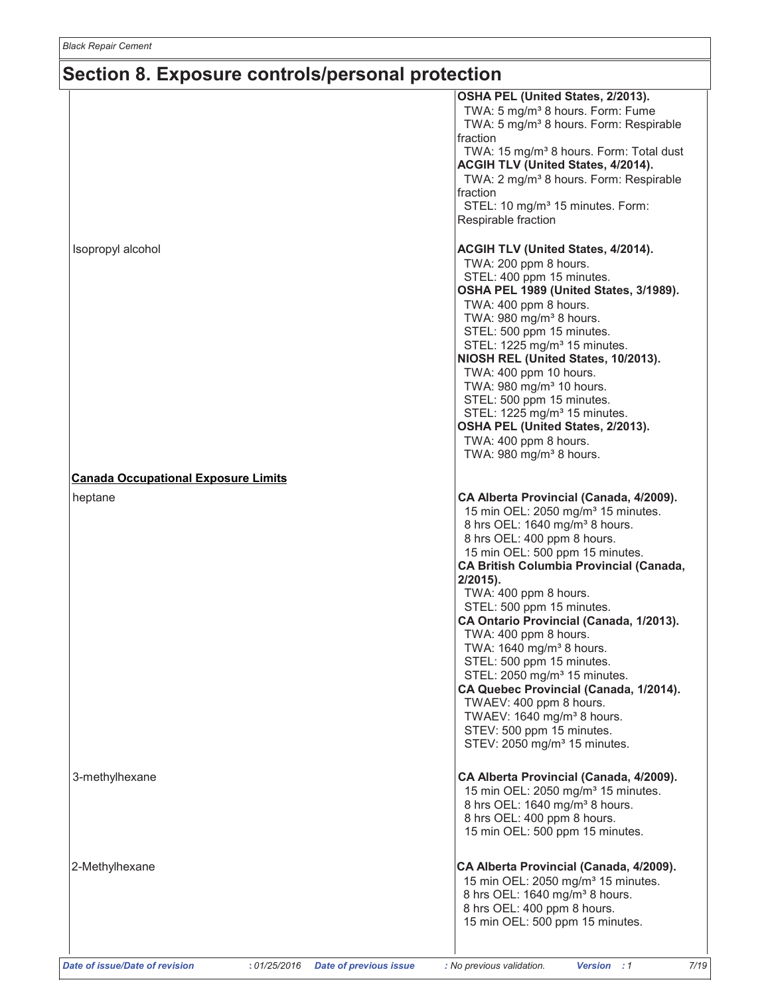|                                            | OSHA PEL (United States, 2/2013).<br>TWA: 5 mg/m <sup>3</sup> 8 hours. Form: Fume         |
|--------------------------------------------|-------------------------------------------------------------------------------------------|
|                                            | TWA: 5 mg/m <sup>3</sup> 8 hours. Form: Respirable                                        |
|                                            | fraction                                                                                  |
|                                            | TWA: 15 mg/m <sup>3</sup> 8 hours. Form: Total dust<br>ACGIH TLV (United States, 4/2014). |
|                                            | TWA: 2 mg/m <sup>3</sup> 8 hours. Form: Respirable<br>fraction                            |
|                                            | STEL: 10 mg/m <sup>3</sup> 15 minutes. Form:                                              |
|                                            | Respirable fraction                                                                       |
| Isopropyl alcohol                          | ACGIH TLV (United States, 4/2014).                                                        |
|                                            | TWA: 200 ppm 8 hours.                                                                     |
|                                            | STEL: 400 ppm 15 minutes.                                                                 |
|                                            | OSHA PEL 1989 (United States, 3/1989).<br>TWA: 400 ppm 8 hours.                           |
|                                            | TWA: 980 mg/m <sup>3</sup> 8 hours.                                                       |
|                                            | STEL: 500 ppm 15 minutes.                                                                 |
|                                            | STEL: 1225 mg/m <sup>3</sup> 15 minutes.                                                  |
|                                            | NIOSH REL (United States, 10/2013).                                                       |
|                                            | TWA: 400 ppm 10 hours.                                                                    |
|                                            | TWA: 980 mg/m <sup>3</sup> 10 hours.                                                      |
|                                            | STEL: 500 ppm 15 minutes.                                                                 |
|                                            | STEL: 1225 mg/m <sup>3</sup> 15 minutes.                                                  |
|                                            | OSHA PEL (United States, 2/2013).                                                         |
|                                            | TWA: 400 ppm 8 hours.<br>TWA: 980 mg/m <sup>3</sup> 8 hours.                              |
| <b>Canada Occupational Exposure Limits</b> |                                                                                           |
| heptane                                    | CA Alberta Provincial (Canada, 4/2009).                                                   |
|                                            | 15 min OEL: 2050 mg/m <sup>3</sup> 15 minutes.                                            |
|                                            | 8 hrs OEL: 1640 mg/m <sup>3</sup> 8 hours.                                                |
|                                            | 8 hrs OEL: 400 ppm 8 hours.                                                               |
|                                            | 15 min OEL: 500 ppm 15 minutes.                                                           |
|                                            | <b>CA British Columbia Provincial (Canada,</b>                                            |
|                                            | $2/2015$ ).                                                                               |
|                                            | TWA: 400 ppm 8 hours.                                                                     |
|                                            | STEL: 500 ppm 15 minutes.                                                                 |
|                                            | CA Ontario Provincial (Canada, 1/2013).<br>TWA: 400 ppm 8 hours.                          |
|                                            | TWA: $1640$ mg/m <sup>3</sup> 8 hours.                                                    |
|                                            | STEL: 500 ppm 15 minutes.                                                                 |
|                                            | STEL: 2050 mg/m <sup>3</sup> 15 minutes.                                                  |
|                                            | CA Quebec Provincial (Canada, 1/2014).                                                    |
|                                            | TWAEV: 400 ppm 8 hours.                                                                   |
|                                            | TWAEV: 1640 mg/m <sup>3</sup> 8 hours.                                                    |
|                                            | STEV: 500 ppm 15 minutes.                                                                 |
|                                            | STEV: 2050 mg/m <sup>3</sup> 15 minutes.                                                  |
| 3-methylhexane                             | CA Alberta Provincial (Canada, 4/2009).                                                   |
|                                            | 15 min OEL: 2050 mg/m <sup>3</sup> 15 minutes.                                            |
|                                            | 8 hrs OEL: 1640 mg/m <sup>3</sup> 8 hours.                                                |
|                                            | 8 hrs OEL: 400 ppm 8 hours.                                                               |
|                                            | 15 min OEL: 500 ppm 15 minutes.                                                           |
| 2-Methylhexane                             | CA Alberta Provincial (Canada, 4/2009).                                                   |
|                                            | 15 min OEL: 2050 mg/m <sup>3</sup> 15 minutes.                                            |
|                                            | 8 hrs OEL: 1640 mg/m <sup>3</sup> 8 hours.                                                |
|                                            | 8 hrs OEL: 400 ppm 8 hours.                                                               |
|                                            | 15 min OEL: 500 ppm 15 minutes.                                                           |
|                                            |                                                                                           |

Version : 1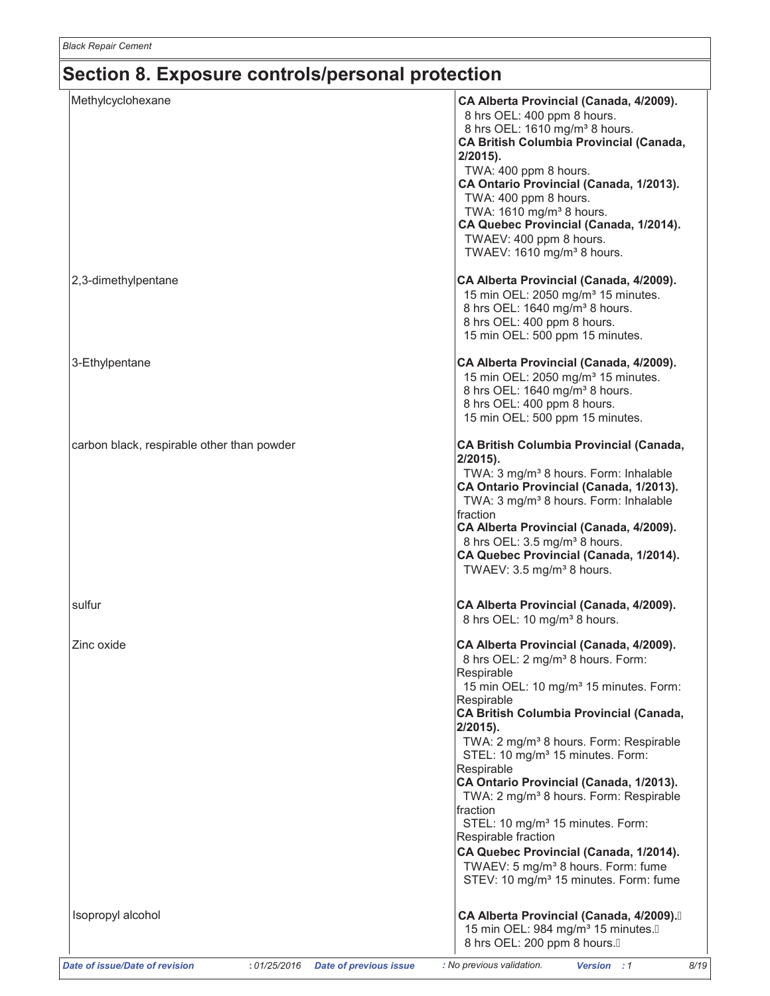| Methylcyclohexane                          | CA Alberta Provincial (Canada, 4/2009).<br>8 hrs OEL: 400 ppm 8 hours.<br>8 hrs OEL: 1610 mg/m <sup>3</sup> 8 hours.<br>CA British Columbia Provincial (Canada,<br>$2/2015$ ).<br>TWA: 400 ppm 8 hours.<br>CA Ontario Provincial (Canada, 1/2013).<br>TWA: 400 ppm 8 hours.<br>TWA: 1610 mg/m <sup>3</sup> 8 hours.<br>CA Quebec Provincial (Canada, 1/2014).<br>TWAEV: 400 ppm 8 hours.<br>TWAEV: 1610 mg/m <sup>3</sup> 8 hours.                                                                                                                                                                                                                                                            |
|--------------------------------------------|-----------------------------------------------------------------------------------------------------------------------------------------------------------------------------------------------------------------------------------------------------------------------------------------------------------------------------------------------------------------------------------------------------------------------------------------------------------------------------------------------------------------------------------------------------------------------------------------------------------------------------------------------------------------------------------------------|
| 2,3-dimethylpentane                        | CA Alberta Provincial (Canada, 4/2009).<br>15 min OEL: 2050 mg/m <sup>3</sup> 15 minutes.<br>8 hrs OEL: 1640 mg/m <sup>3</sup> 8 hours.<br>8 hrs OEL: 400 ppm 8 hours.<br>15 min OEL: 500 ppm 15 minutes.                                                                                                                                                                                                                                                                                                                                                                                                                                                                                     |
| 3-Ethylpentane                             | CA Alberta Provincial (Canada, 4/2009).<br>15 min OEL: 2050 mg/m <sup>3</sup> 15 minutes.<br>8 hrs OEL: 1640 mg/m <sup>3</sup> 8 hours.<br>8 hrs OEL: 400 ppm 8 hours.<br>15 min OEL: 500 ppm 15 minutes.                                                                                                                                                                                                                                                                                                                                                                                                                                                                                     |
| carbon black, respirable other than powder | CA British Columbia Provincial (Canada,<br>$2/2015$ ).<br>TWA: 3 mg/m <sup>3</sup> 8 hours. Form: Inhalable<br>CA Ontario Provincial (Canada, 1/2013).<br>TWA: 3 mg/m <sup>3</sup> 8 hours. Form: Inhalable<br>fraction<br>CA Alberta Provincial (Canada, 4/2009).<br>8 hrs OEL: 3.5 mg/m <sup>3</sup> 8 hours.<br>CA Quebec Provincial (Canada, 1/2014).<br>TWAEV: 3.5 mg/m <sup>3</sup> 8 hours.                                                                                                                                                                                                                                                                                            |
| sulfur                                     | CA Alberta Provincial (Canada, 4/2009).<br>8 hrs OEL: 10 mg/m <sup>3</sup> 8 hours.                                                                                                                                                                                                                                                                                                                                                                                                                                                                                                                                                                                                           |
| Zinc oxide                                 | CA Alberta Provincial (Canada, 4/2009).<br>8 hrs OEL: 2 mg/m <sup>3</sup> 8 hours. Form:<br>Respirable<br>15 min OEL: 10 mg/m <sup>3</sup> 15 minutes. Form:<br>Respirable<br>CA British Columbia Provincial (Canada,<br>$2/2015$ ).<br>TWA: 2 mg/m <sup>3</sup> 8 hours. Form: Respirable<br>STEL: 10 mg/m <sup>3</sup> 15 minutes. Form:<br>Respirable<br>CA Ontario Provincial (Canada, 1/2013).<br>TWA: 2 mg/m <sup>3</sup> 8 hours. Form: Respirable<br>fraction<br>STEL: 10 mg/m <sup>3</sup> 15 minutes. Form:<br>Respirable fraction<br>CA Quebec Provincial (Canada, 1/2014).<br>TWAEV: 5 mg/m <sup>3</sup> 8 hours. Form: fume<br>STEV: 10 mg/m <sup>3</sup> 15 minutes. Form: fume |
| Isopropyl alcohol                          | CA Alberta Provincial (Canada, 4/2009).<br>15 min OEL: 984 mg/m <sup>3</sup> 15 minutes.A<br>8 hrs OEL: 200 ppm 8 hours.A                                                                                                                                                                                                                                                                                                                                                                                                                                                                                                                                                                     |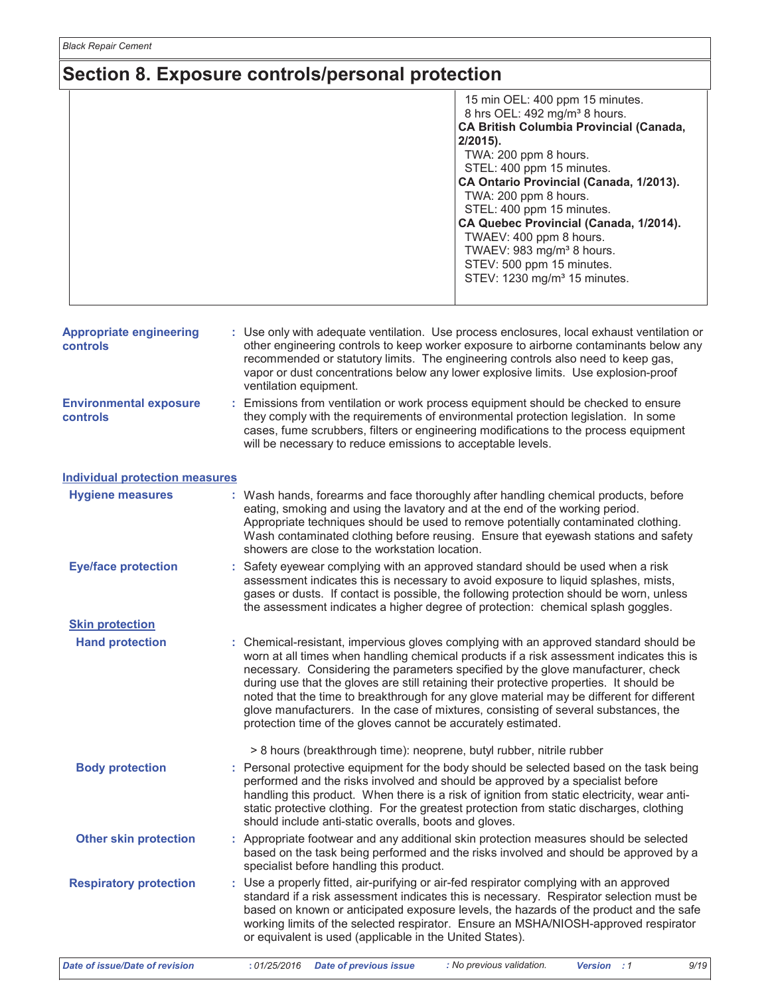|                                                   | 15 min OEL: 400 ppm 15 minutes.<br>8 hrs OEL: 492 mg/m <sup>3</sup> 8 hours.<br><b>CA British Columbia Provincial (Canada,</b><br>$2/2015$ ).<br>TWA: 200 ppm 8 hours.<br>STEL: 400 ppm 15 minutes.<br>CA Ontario Provincial (Canada, 1/2013).<br>TWA: 200 ppm 8 hours.<br>STEL: 400 ppm 15 minutes.<br>CA Quebec Provincial (Canada, 1/2014).<br>TWAEV: 400 ppm 8 hours.<br>TWAEV: 983 mg/m <sup>3</sup> 8 hours.<br>STEV: 500 ppm 15 minutes.<br>STEV: 1230 mg/m <sup>3</sup> 15 minutes.                                                                                                                            |
|---------------------------------------------------|------------------------------------------------------------------------------------------------------------------------------------------------------------------------------------------------------------------------------------------------------------------------------------------------------------------------------------------------------------------------------------------------------------------------------------------------------------------------------------------------------------------------------------------------------------------------------------------------------------------------|
| <b>Appropriate engineering</b><br><b>controls</b> | : Use only with adequate ventilation. Use process enclosures, local exhaust ventilation or<br>other engineering controls to keep worker exposure to airborne contaminants below any<br>recommended or statutory limits. The engineering controls also need to keep gas,<br>vapor or dust concentrations below any lower explosive limits. Use explosion-proof<br>ventilation equipment.                                                                                                                                                                                                                                |
| <b>Environmental exposure</b><br><b>controls</b>  | Emissions from ventilation or work process equipment should be checked to ensure<br>they comply with the requirements of environmental protection legislation. In some<br>cases, fume scrubbers, filters or engineering modifications to the process equipment<br>will be necessary to reduce emissions to acceptable levels.                                                                                                                                                                                                                                                                                          |
| <b>Individual protection measures</b>             |                                                                                                                                                                                                                                                                                                                                                                                                                                                                                                                                                                                                                        |
| <b>Hygiene measures</b>                           | : Wash hands, forearms and face thoroughly after handling chemical products, before<br>eating, smoking and using the lavatory and at the end of the working period.<br>Appropriate techniques should be used to remove potentially contaminated clothing.<br>Wash contaminated clothing before reusing. Ensure that eyewash stations and safety<br>showers are close to the workstation location.                                                                                                                                                                                                                      |
| <b>Eye/face protection</b>                        | : Safety eyewear complying with an approved standard should be used when a risk<br>assessment indicates this is necessary to avoid exposure to liquid splashes, mists,<br>gases or dusts. If contact is possible, the following protection should be worn, unless<br>the assessment indicates a higher degree of protection: chemical splash goggles.                                                                                                                                                                                                                                                                  |
| <b>Skin protection</b>                            |                                                                                                                                                                                                                                                                                                                                                                                                                                                                                                                                                                                                                        |
| <b>Hand protection</b>                            | : Chemical-resistant, impervious gloves complying with an approved standard should be<br>worn at all times when handling chemical products if a risk assessment indicates this is<br>necessary. Considering the parameters specified by the glove manufacturer, check<br>during use that the gloves are still retaining their protective properties. It should be<br>noted that the time to breakthrough for any glove material may be different for different<br>glove manufacturers. In the case of mixtures, consisting of several substances, the<br>protection time of the gloves cannot be accurately estimated. |
|                                                   | > 8 hours (breakthrough time): neoprene, butyl rubber, nitrile rubber                                                                                                                                                                                                                                                                                                                                                                                                                                                                                                                                                  |
| <b>Body protection</b>                            | : Personal protective equipment for the body should be selected based on the task being<br>performed and the risks involved and should be approved by a specialist before<br>handling this product. When there is a risk of ignition from static electricity, wear anti-<br>static protective clothing. For the greatest protection from static discharges, clothing<br>should include anti-static overalls, boots and gloves.                                                                                                                                                                                         |
| <b>Other skin protection</b>                      | : Appropriate footwear and any additional skin protection measures should be selected<br>based on the task being performed and the risks involved and should be approved by a<br>specialist before handling this product.                                                                                                                                                                                                                                                                                                                                                                                              |
| <b>Respiratory protection</b>                     | : Use a properly fitted, air-purifying or air-fed respirator complying with an approved<br>standard if a risk assessment indicates this is necessary. Respirator selection must be<br>based on known or anticipated exposure levels, the hazards of the product and the safe<br>working limits of the selected respirator. Ensure an MSHA/NIOSH-approved respirator<br>or equivalent is used (applicable in the United States).                                                                                                                                                                                        |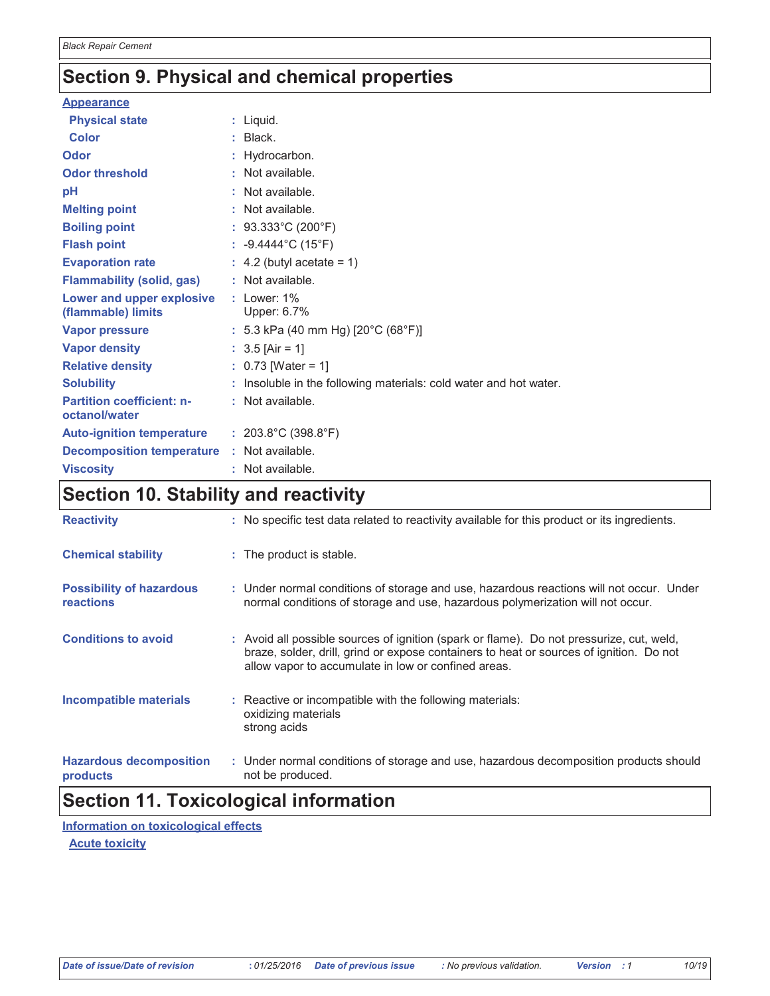# Section 9. Physical and chemical properties

| <b>Appearance</b>                                 |                                                                   |
|---------------------------------------------------|-------------------------------------------------------------------|
| <b>Physical state</b>                             | $:$ Liquid.                                                       |
| <b>Color</b>                                      | $:$ Black.                                                        |
| Odor                                              | : Hydrocarbon.                                                    |
| <b>Odor threshold</b>                             | : Not available.                                                  |
| рH                                                | : Not available.                                                  |
| <b>Melting point</b>                              | : Not available.                                                  |
| <b>Boiling point</b>                              | : $93.333^{\circ}$ C (200°F)                                      |
| <b>Flash point</b>                                | : $-9.4444^{\circ}$ C (15°F)                                      |
| <b>Evaporation rate</b>                           | $\therefore$ 4.2 (butyl acetate = 1)                              |
| <b>Flammability (solid, gas)</b>                  | : Not available.                                                  |
| Lower and upper explosive<br>(flammable) limits   | $:$ Lower: $1\%$<br>Upper: 6.7%                                   |
| <b>Vapor pressure</b>                             | : 5.3 kPa (40 mm Hg) [20 $^{\circ}$ C (68 $^{\circ}$ F)]          |
| <b>Vapor density</b>                              | : $3.5$ [Air = 1]                                                 |
| <b>Relative density</b>                           | : $0.73$ [Water = 1]                                              |
| <b>Solubility</b>                                 | : Insoluble in the following materials: cold water and hot water. |
| <b>Partition coefficient: n-</b><br>octanol/water | : Not available.                                                  |
| Auto-ignition temperature : 203.8°C (398.8°F)     |                                                                   |
| <b>Decomposition temperature : Not available.</b> |                                                                   |
| <b>Viscosity</b>                                  | : Not available.                                                  |

# Section 10. Stability and reactivity

| <b>Reactivity</b>                            | : No specific test data related to reactivity available for this product or its ingredients.                                                                                                                                               |
|----------------------------------------------|--------------------------------------------------------------------------------------------------------------------------------------------------------------------------------------------------------------------------------------------|
| <b>Chemical stability</b>                    | : The product is stable.                                                                                                                                                                                                                   |
| <b>Possibility of hazardous</b><br>reactions | : Under normal conditions of storage and use, hazardous reactions will not occur. Under<br>normal conditions of storage and use, hazardous polymerization will not occur.                                                                  |
| <b>Conditions to avoid</b>                   | : Avoid all possible sources of ignition (spark or flame). Do not pressurize, cut, weld,<br>braze, solder, drill, grind or expose containers to heat or sources of ignition. Do not<br>allow vapor to accumulate in low or confined areas. |
| Incompatible materials                       | : Reactive or incompatible with the following materials:<br>oxidizing materials<br>strong acids                                                                                                                                            |
| <b>Hazardous decomposition</b><br>products   | : Under normal conditions of storage and use, hazardous decomposition products should<br>not be produced.                                                                                                                                  |

## **Section 11. Toxicological information**

Information on toxicological effects

**Acute toxicity**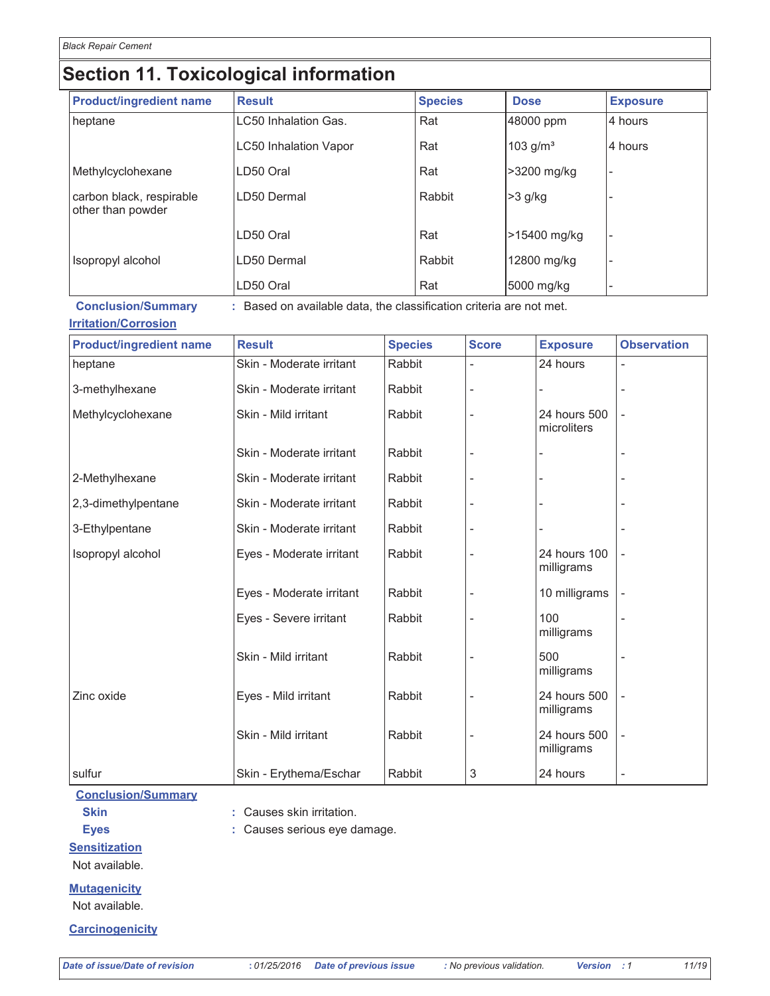### **Section 11. Toxicological information**

| <b>Product/ingredient name</b>                | <b>Result</b>                 | <b>Species</b> | <b>Dose</b>  | <b>Exposure</b> |
|-----------------------------------------------|-------------------------------|----------------|--------------|-----------------|
| heptane                                       | ILC50 Inhalation Gas.         | Rat            | 48000 ppm    | 4 hours         |
|                                               | <b>ILC50 Inhalation Vapor</b> | Rat            | 103 $g/m3$   | 4 hours         |
| Methylcyclohexane                             | LD50 Oral                     | Rat            | =>3200 mg/kg |                 |
| carbon black, respirable<br>other than powder | ll D50 Dermal                 | Rabbit         | $>3$ g/kg    |                 |
|                                               | LD50 Oral                     | Rat            | >15400 mg/kg |                 |
| Isopropyl alcohol                             | LD50 Dermal                   | Rabbit         | 12800 mg/kg  |                 |
|                                               | LD50 Oral                     | Rat            | 5000 mg/kg   |                 |

**Conclusion/Summary** : Based on available data, the classification criteria are not met.

#### **Irritation/Corrosion**

**Product/ingredient name Species Exposure Observation Result Score** Skin - Moderate irritant Rabbit 24 hours heptane Skin - Moderate irritant Rabbit 3-methylhexane Methylcyclohexane Skin - Mild irritant Rabbit 24 hours 500 microliters Skin - Moderate irritant Rabbit 2-Methylhexane Skin - Moderate irritant Rabbit Skin - Moderate irritant Rabbit 2,3-dimethylpentane Skin - Moderate irritant Rabbit 3-Ethylpentane Isopropyl alcohol Rabbit 24 hours 100 Eyes - Moderate irritant milligrams Eyes - Moderate irritant Rabbit 10 milligrams Rabbit 100 Eyes - Severe irritant milligrams Skin - Mild irritant Rabbit 500 milligrams Zinc oxide Rabbit 24 hours 500 Eyes - Mild irritant milligrams Skin - Mild irritant Rabbit 24 hours 500 milligrams Rabbit 3 24 hours sulfur Skin - Erythema/Eschar

#### **Conclusion/Summary**

**Skin** 

**Eyes** 

: Causes skin irritation.

: Causes serious eye damage.

#### **Sensitization**

Not available.

#### **Mutagenicity**

Not available.

#### **Carcinogenicity**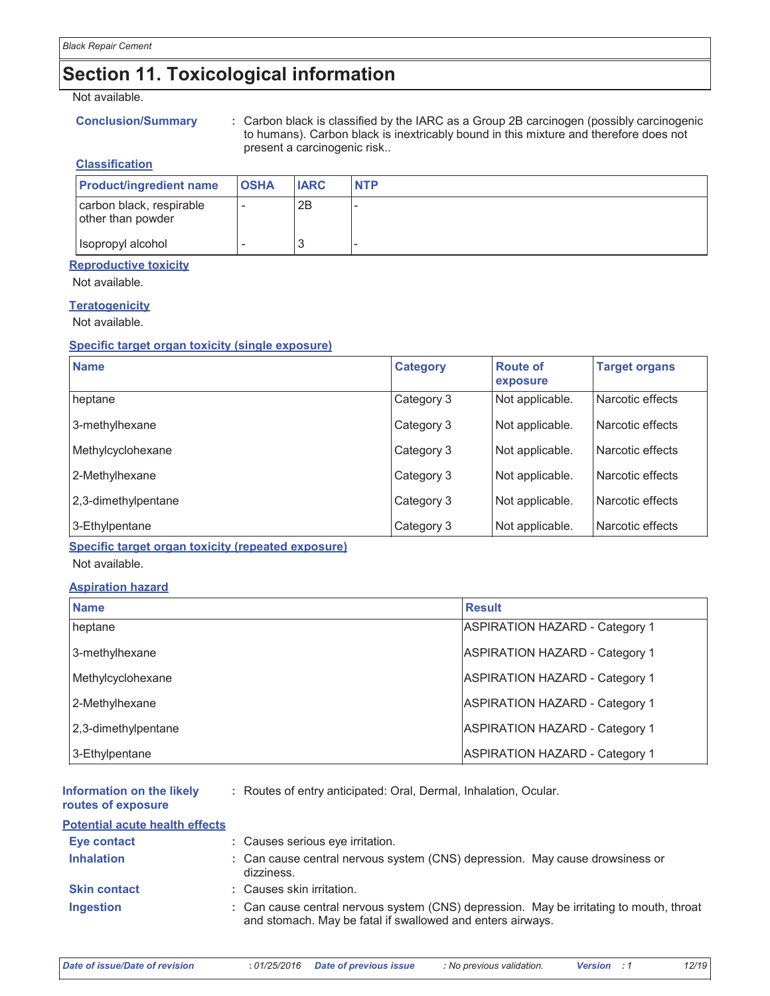# **Section 11. Toxicological information**

#### Not available.

#### **Conclusion/Summary**

: Carbon black is classified by the IARC as a Group 2B carcinogen (possibly carcinogenic to humans). Carbon black is inextricably bound in this mixture and therefore does not present a carcinogenic risk..

#### **Classification**

| <b>Product/ingredient name</b>                | <b>OSHA</b> | <b>IARC</b> | <b>NTP</b> |
|-----------------------------------------------|-------------|-------------|------------|
| carbon black, respirable<br>other than powder |             | 2B          |            |
| Isopropyl alcohol                             |             |             |            |

#### **Reproductive toxicity**

Not available.

#### **Teratogenicity**

Not available.

#### Specific target organ toxicity (single exposure)

| <b>Name</b>         | <b>Category</b> | <b>Route of</b><br>exposure | <b>Target organs</b> |
|---------------------|-----------------|-----------------------------|----------------------|
| heptane             | Category 3      | Not applicable.             | Narcotic effects     |
| 3-methylhexane      | Category 3      | Not applicable.             | Narcotic effects     |
| Methylcyclohexane   | Category 3      | Not applicable.             | Narcotic effects     |
| 2-Methylhexane      | Category 3      | Not applicable.             | Narcotic effects     |
| 2,3-dimethylpentane | Category 3      | Not applicable.             | Narcotic effects     |
| 3-Ethylpentane      | Category 3      | Not applicable.             | Narcotic effects     |

Specific target organ toxicity (repeated exposure)

Not available.

#### **Aspiration hazard**

| <b>Name</b>         | <b>Result</b>                         |
|---------------------|---------------------------------------|
| heptane             | <b>ASPIRATION HAZARD - Category 1</b> |
| 3-methylhexane      | <b>ASPIRATION HAZARD - Category 1</b> |
| Methylcyclohexane   | <b>ASPIRATION HAZARD - Category 1</b> |
| 2-Methylhexane      | <b>ASPIRATION HAZARD - Category 1</b> |
| 2,3-dimethylpentane | <b>ASPIRATION HAZARD - Category 1</b> |
| 3-Ethylpentane      | <b>ASPIRATION HAZARD - Category 1</b> |

| Information on the likely<br>routes of exposure | : Routes of entry anticipated: Oral, Dermal, Inhalation, Ocular. |
|-------------------------------------------------|------------------------------------------------------------------|
| <b>Potential acute health effects</b>           |                                                                  |
| Eye contact                                     | · Causes serious eve irritation                                  |

| $-$ y $\vee$ v $\vee$ interve | . Uddoco ochodo cyc initation.                                                                                                                        |
|-------------------------------|-------------------------------------------------------------------------------------------------------------------------------------------------------|
| <b>Inhalation</b>             | : Can cause central nervous system (CNS) depression. May cause drowsiness or<br>dizziness.                                                            |
| <b>Skin contact</b>           | : Causes skin irritation.                                                                                                                             |
| <b>Ingestion</b>              | : Can cause central nervous system (CNS) depression. May be irritating to mouth, throat<br>and stomach. May be fatal if swallowed and enters airways. |

12/19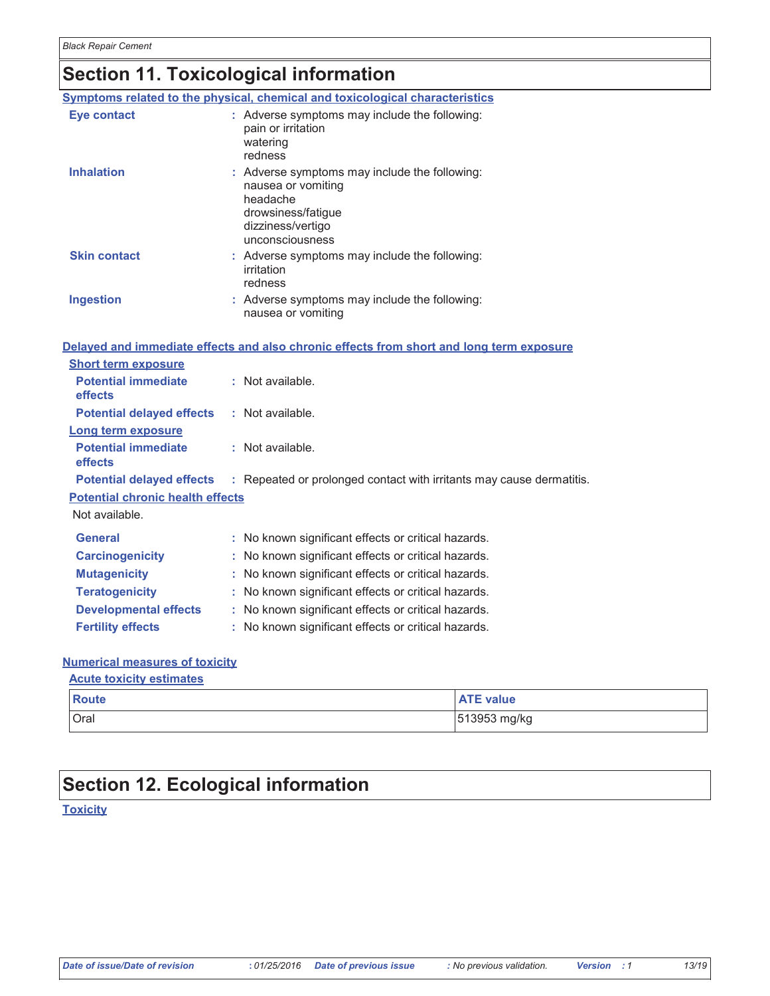# Section 11. Toxicological information

|                                              | Symptoms related to the physical, chemical and toxicological characteristics                                                                  |
|----------------------------------------------|-----------------------------------------------------------------------------------------------------------------------------------------------|
| <b>Eye contact</b>                           | : Adverse symptoms may include the following:<br>pain or irritation<br>watering<br>redness                                                    |
| <b>Inhalation</b>                            | : Adverse symptoms may include the following:<br>nausea or vomiting<br>headache<br>drowsiness/fatigue<br>dizziness/vertigo<br>unconsciousness |
| <b>Skin contact</b>                          | : Adverse symptoms may include the following:<br>irritation<br>redness                                                                        |
| Ingestion                                    | : Adverse symptoms may include the following:<br>nausea or vomiting                                                                           |
|                                              | Delayed and immediate effects and also chronic effects from short and long term exposure                                                      |
| <b>Short term exposure</b>                   |                                                                                                                                               |
| <b>Potential immediate</b><br><b>effects</b> | : Not available.                                                                                                                              |
| <b>Potential delayed effects</b>             | : Not available.                                                                                                                              |
| Long term exposure                           |                                                                                                                                               |
| <b>Potential immediate</b><br>effects        | : Not available.                                                                                                                              |
| <b>Potential delayed effects</b>             | : Repeated or prolonged contact with irritants may cause dermatitis.                                                                          |
| <b>Potential chronic health effects</b>      |                                                                                                                                               |
| Not available.                               |                                                                                                                                               |
| <b>General</b>                               | : No known significant effects or critical hazards.                                                                                           |
| <b>Carcinogenicity</b>                       | : No known significant effects or critical hazards.                                                                                           |
| <b>Mutagenicity</b>                          | : No known significant effects or critical hazards.                                                                                           |
| <b>Teratogenicity</b>                        | : No known significant effects or critical hazards.                                                                                           |
| <b>Developmental effects</b>                 | : No known significant effects or critical hazards.                                                                                           |
| <b>Fertility effects</b>                     | : No known significant effects or critical hazards.                                                                                           |

#### **Numerical measures of toxicity**

#### **Acute toxicity estimates**

| <b>Route</b> | <b>ATE value</b> |
|--------------|------------------|
| Oral         | 13953 mg/kg      |

# **Section 12. Ecological information**

**Toxicity**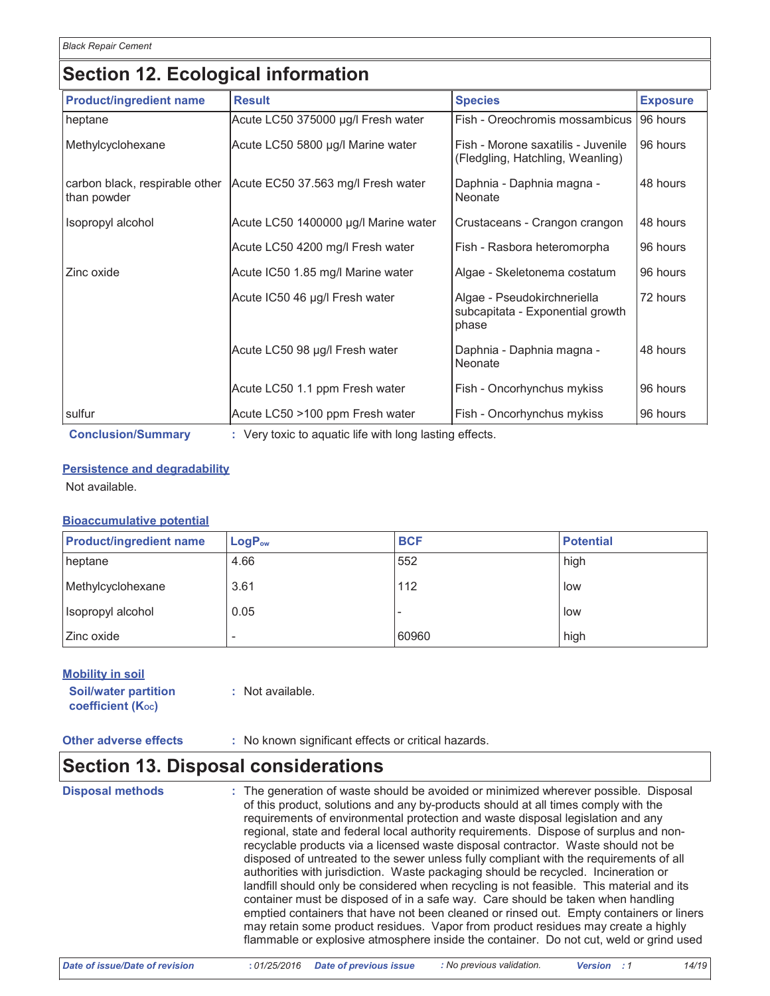# **Section 12. Ecological information**

| <b>Product/ingredient name</b>                | <b>Result</b>                                          | <b>Species</b>                                                           | <b>Exposure</b> |  |  |  |
|-----------------------------------------------|--------------------------------------------------------|--------------------------------------------------------------------------|-----------------|--|--|--|
| heptane                                       | Acute LC50 375000 µg/l Fresh water                     | Fish - Oreochromis mossambicus                                           | 96 hours        |  |  |  |
| Methylcyclohexane                             | Acute LC50 5800 µg/l Marine water                      | Fish - Morone saxatilis - Juvenile<br>(Fledgling, Hatchling, Weanling)   | 96 hours        |  |  |  |
| carbon black, respirable other<br>than powder | Acute EC50 37.563 mg/l Fresh water                     | Daphnia - Daphnia magna -<br>Neonate                                     | 48 hours        |  |  |  |
| Isopropyl alcohol                             | Acute LC50 1400000 µg/l Marine water                   | Crustaceans - Crangon crangon                                            | 48 hours        |  |  |  |
|                                               | Acute LC50 4200 mg/l Fresh water                       | Fish - Rasbora heteromorpha                                              | 96 hours        |  |  |  |
| Zinc oxide                                    | Acute IC50 1.85 mg/l Marine water                      | Algae - Skeletonema costatum                                             | 96 hours        |  |  |  |
|                                               | Acute IC50 46 µg/l Fresh water                         | Algae - Pseudokirchneriella<br>subcapitata - Exponential growth<br>phase | 72 hours        |  |  |  |
|                                               | Acute LC50 98 µg/l Fresh water                         | Daphnia - Daphnia magna -<br>Neonate                                     | 48 hours        |  |  |  |
|                                               | Acute LC50 1.1 ppm Fresh water                         | Fish - Oncorhynchus mykiss                                               | 96 hours        |  |  |  |
| sulfur                                        | Acute LC50 >100 ppm Fresh water                        | Fish - Oncorhynchus mykiss                                               | 96 hours        |  |  |  |
| <b>Conclusion/Summary</b>                     | : Very toxic to aquatic life with long lasting effects |                                                                          |                 |  |  |  |

#### **Persistence and degradability**

Not available.

#### **Bioaccumulative potential**

| <b>Product/ingredient name</b> | LogP <sub>ow</sub> | <b>BCF</b> | <b>Potential</b> |
|--------------------------------|--------------------|------------|------------------|
| heptane                        | 4.66               | 552        | high             |
| Methylcyclohexane              | 3.61               | 112        | low              |
| Isopropyl alcohol              | 0.05               |            | low              |
| I Zinc oxide                   | -                  | 60960      | high             |

#### **Mobility in soil**

| <b>Soil/water partition</b> | : Not available |
|-----------------------------|-----------------|
| <b>coefficient (Koc)</b>    |                 |

#### **Other adverse effects**

: No known significant effects or critical hazards.

### **Section 13. Disposal considerations**

**Disposal methods** 

: The generation of waste should be avoided or minimized wherever possible. Disposal of this product, solutions and any by-products should at all times comply with the requirements of environmental protection and waste disposal legislation and any regional, state and federal local authority requirements. Dispose of surplus and nonrecyclable products via a licensed waste disposal contractor. Waste should not be disposed of untreated to the sewer unless fully compliant with the requirements of all authorities with jurisdiction. Waste packaging should be recycled. Incineration or landfill should only be considered when recycling is not feasible. This material and its container must be disposed of in a safe way. Care should be taken when handling emptied containers that have not been cleaned or rinsed out. Empty containers or liners may retain some product residues. Vapor from product residues may create a highly flammable or explosive atmosphere inside the container. Do not cut, weld or grind used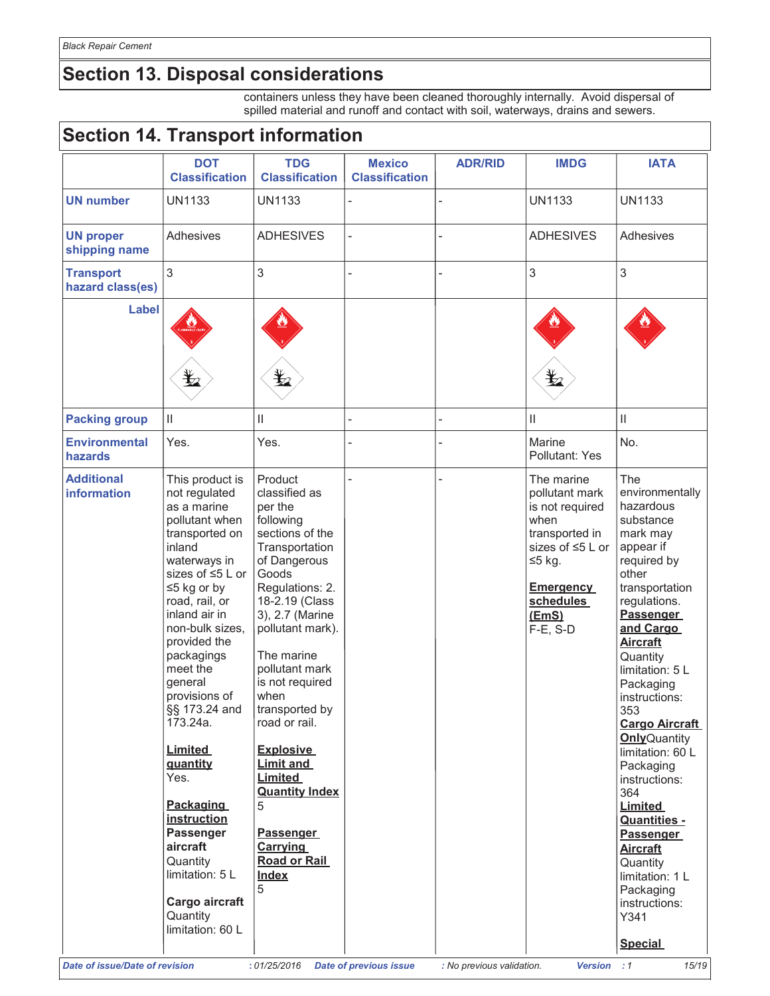# **Section 13. Disposal considerations**

containers unless they have been cleaned thoroughly internally. Avoid dispersal of spilled material and runoff and contact with soil, waterways, drains and sewers.

## Section 14 Transport information

| <b>DOT</b><br><b>Classification</b><br><b>UN1133</b><br>Adhesives                                                                                                                                                                                                                                                                                                                                                                                                                                         | <b>TDG</b><br><b>Classification</b><br><b>UN1133</b>                                                                                                                                                                                                                                                                                                                                                                                       | <b>Mexico</b><br><b>Classification</b> | <b>ADR/RID</b> | <b>IMDG</b>                                                                                                                                                     | <b>IATA</b>                                                                                                                                                                                                                                                                                                                                                                                                                                                                                                                                  |
|-----------------------------------------------------------------------------------------------------------------------------------------------------------------------------------------------------------------------------------------------------------------------------------------------------------------------------------------------------------------------------------------------------------------------------------------------------------------------------------------------------------|--------------------------------------------------------------------------------------------------------------------------------------------------------------------------------------------------------------------------------------------------------------------------------------------------------------------------------------------------------------------------------------------------------------------------------------------|----------------------------------------|----------------|-----------------------------------------------------------------------------------------------------------------------------------------------------------------|----------------------------------------------------------------------------------------------------------------------------------------------------------------------------------------------------------------------------------------------------------------------------------------------------------------------------------------------------------------------------------------------------------------------------------------------------------------------------------------------------------------------------------------------|
|                                                                                                                                                                                                                                                                                                                                                                                                                                                                                                           |                                                                                                                                                                                                                                                                                                                                                                                                                                            |                                        |                |                                                                                                                                                                 |                                                                                                                                                                                                                                                                                                                                                                                                                                                                                                                                              |
|                                                                                                                                                                                                                                                                                                                                                                                                                                                                                                           |                                                                                                                                                                                                                                                                                                                                                                                                                                            |                                        |                | <b>UN1133</b>                                                                                                                                                   | <b>UN1133</b>                                                                                                                                                                                                                                                                                                                                                                                                                                                                                                                                |
|                                                                                                                                                                                                                                                                                                                                                                                                                                                                                                           | <b>ADHESIVES</b>                                                                                                                                                                                                                                                                                                                                                                                                                           |                                        |                | <b>ADHESIVES</b>                                                                                                                                                | Adhesives                                                                                                                                                                                                                                                                                                                                                                                                                                                                                                                                    |
| 3                                                                                                                                                                                                                                                                                                                                                                                                                                                                                                         | 3                                                                                                                                                                                                                                                                                                                                                                                                                                          | L                                      |                | 3                                                                                                                                                               | 3                                                                                                                                                                                                                                                                                                                                                                                                                                                                                                                                            |
| $\bigstar$                                                                                                                                                                                                                                                                                                                                                                                                                                                                                                | q                                                                                                                                                                                                                                                                                                                                                                                                                                          |                                        |                | q                                                                                                                                                               |                                                                                                                                                                                                                                                                                                                                                                                                                                                                                                                                              |
| $\mathbf{  }$                                                                                                                                                                                                                                                                                                                                                                                                                                                                                             | Ш                                                                                                                                                                                                                                                                                                                                                                                                                                          |                                        |                | $\ensuremath{\mathsf{II}}$                                                                                                                                      | $\ensuremath{\mathsf{II}}$                                                                                                                                                                                                                                                                                                                                                                                                                                                                                                                   |
| Yes.                                                                                                                                                                                                                                                                                                                                                                                                                                                                                                      | Yes.                                                                                                                                                                                                                                                                                                                                                                                                                                       |                                        |                | Marine<br>Pollutant: Yes                                                                                                                                        | No.                                                                                                                                                                                                                                                                                                                                                                                                                                                                                                                                          |
| This product is<br>not regulated<br>as a marine<br>pollutant when<br>transported on<br>inland<br>waterways in<br>sizes of ≤5 L or<br>$\leq$ 5 kg or by<br>road, rail, or<br>inland air in<br>non-bulk sizes,<br>provided the<br>packagings<br>meet the<br>general<br>provisions of<br>§§ 173.24 and<br>173.24a.<br><b>Limited</b><br>guantity<br>Yes.<br><b>Packaging</b><br>instruction<br><b>Passenger</b><br>aircraft<br>Quantity<br>limitation: 5 L<br>Cargo aircraft<br>Quantity<br>limitation: 60 L | Product<br>classified as<br>per the<br>following<br>sections of the<br>Transportation<br>of Dangerous<br>Goods<br>Regulations: 2.<br>18-2.19 (Class<br>3), 2.7 (Marine<br>pollutant mark).<br>The marine<br>pollutant mark<br>is not required<br>when<br>road or rail.<br><b>Explosive</b><br><b>Limit and</b><br>Limited<br><b>Quantity Index</b><br>5<br><b>Passenger</b><br><b>Carrying</b><br><b>Road or Rail</b><br><b>Index</b><br>5 |                                        |                | The marine<br>pollutant mark<br>is not required<br>when<br>transported in<br>sizes of ≤5 L or<br>$≤5$ kg.<br><b>Emergency</b><br>schedules<br>(EmS)<br>F-E, S-D | The<br>environmentally<br>hazardous<br>substance<br>mark may<br>appear if<br>required by<br>other<br>transportation<br>regulations.<br><b>Passenger</b><br>and Cargo<br><b>Aircraft</b><br>Quantity<br>limitation: 5 L<br>Packaging<br>instructions:<br>353<br><b>Cargo Aircraft</b><br><b>Only</b> Quantity<br>limitation: 60 L<br>Packaging<br>instructions:<br>364<br><b>Limited</b><br><b>Quantities -</b><br><b>Passenger</b><br><b>Aircraft</b><br>Quantity<br>limitation: 1 L<br>Packaging<br>instructions:<br>Y341<br><b>Special</b> |
|                                                                                                                                                                                                                                                                                                                                                                                                                                                                                                           |                                                                                                                                                                                                                                                                                                                                                                                                                                            | transported by                         |                | <b>Date of issue/Date of revision</b><br>: 01/25/2016 Date of previous issue                                                                                    | : No previous validation.<br>Version : 1                                                                                                                                                                                                                                                                                                                                                                                                                                                                                                     |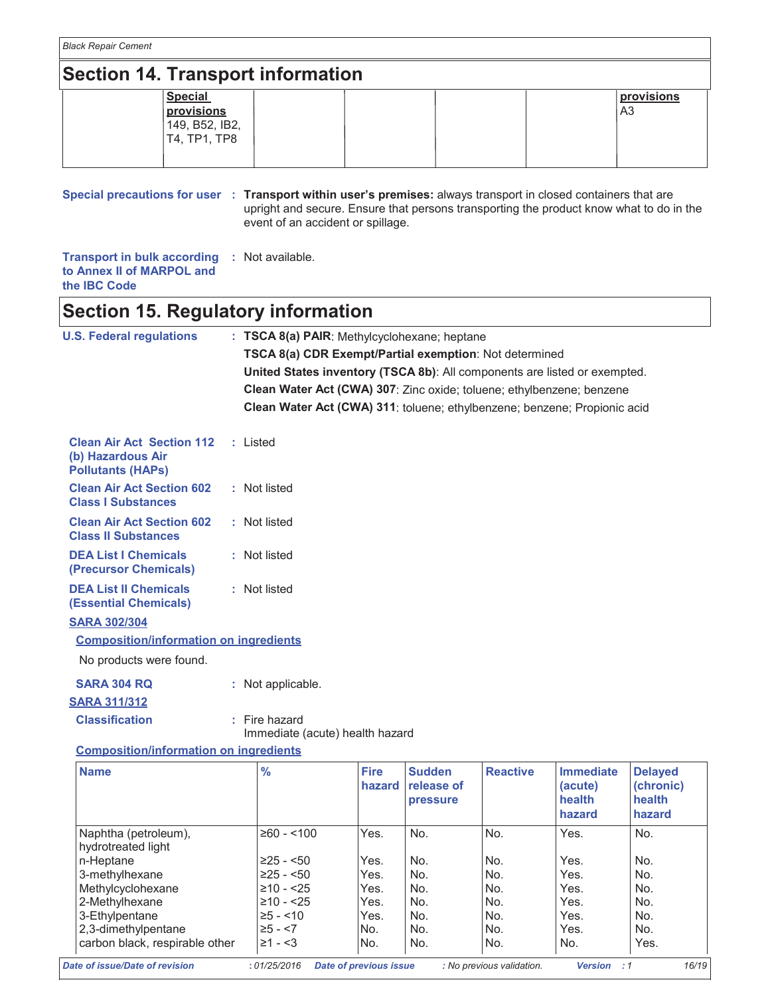## **Section 14. Transport information**

| Special                      |  |  | <b>provisions</b> |
|------------------------------|--|--|-------------------|
| provisions<br>149, B52, IB2, |  |  | A3                |
| T4, TP1, TP8                 |  |  |                   |
|                              |  |  |                   |

Special precautions for user : Transport within user's premises: always transport in closed containers that are upright and secure. Ensure that persons transporting the product know what to do in the event of an accident or spillage.

Transport in bulk according : Not available. to Annex II of MARPOL and the IBC Code

### **Section 15. Regulatory information**

| <b>U.S. Federal regulations</b> | $: TSCA 8(a) PAIR: Methvlcvclohexane; heptane$                               |
|---------------------------------|------------------------------------------------------------------------------|
|                                 | TSCA 8(a) CDR Exempt/Partial exemption: Not determined                       |
|                                 | United States inventory (TSCA 8b): All components are listed or exempted.    |
|                                 | <b>Clean Water Act (CWA) 307:</b> Zinc oxide; toluene; ethylbenzene; benzene |
|                                 | Clean Water Act (CWA) 311: toluene; ethylbenzene; benzene; Propionic acid    |
|                                 |                                                                              |

| <b>Clean Air Act Section 112 : Listed</b><br>(b) Hazardous Air<br><b>Pollutants (HAPs)</b> |              |
|--------------------------------------------------------------------------------------------|--------------|
| <b>Clean Air Act Section 602</b><br><b>Class I Substances</b>                              | : Not listed |
| <b>Clean Air Act Section 602</b><br><b>Class II Substances</b>                             | : Not listed |
| <b>DEA List I Chemicals</b><br>(Precursor Chemicals)                                       | : Not listed |
| <b>DEA List II Chemicals</b><br>(Essential Chemicals)                                      | : Not listed |

#### **SARA 302/304**

#### **Composition/information on ingredients**

No products were found.

### **SARA 304 RQ**

#### : Not applicable.

#### **SARA 311/312 Classification**

: Fire hazard

Immediate (acute) health hazard

#### **Composition/information on ingredients**

| <b>Fire</b><br>hazard | release of<br>pressure |                               | (acute)<br>health<br>hazard | (chronic)<br>health<br>hazard |
|-----------------------|------------------------|-------------------------------|-----------------------------|-------------------------------|
| $≥60 - < 100$<br>Yes. | No.                    | No.                           | Yes.                        | No.                           |
| Yes.                  | No.                    | No.                           | Yes.                        | No.                           |
| Yes.                  | No.                    | No.                           | Yes.                        | No.                           |
| Yes.                  | No.                    | No.                           | Yes.                        | No.                           |
| Yes.                  | No.                    | No.                           | Yes.                        | No.                           |
| Yes.                  | No.                    | No.                           | Yes.                        | No.                           |
| No.                   | No.                    | No.                           | Yes.                        | No.                           |
| No.                   | No.                    | No.                           | No.                         | Yes.                          |
|                       |                        | <b>Date of previous issue</b> | : No previous validation.   | Version<br>: 1                |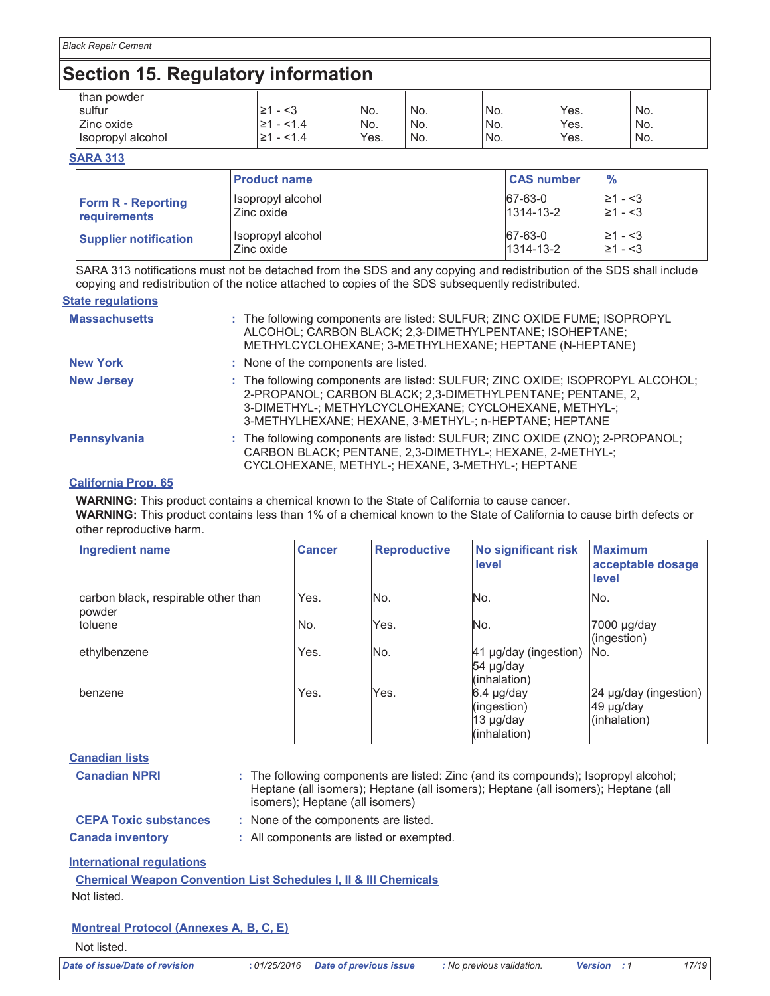## **Section 15. Regulatory information**

| than powder       |             |                 |       |                  |      |     |  |
|-------------------|-------------|-----------------|-------|------------------|------|-----|--|
| sulfur            | <3<br>≥     | No.             | No.   | No.              | Yes. | No. |  |
| Zinc oxide        | 1.4         | IN <sub>o</sub> | No.   | <sup>I</sup> No. | Yes. | No. |  |
| Isopropyl alcohol | ≥1<br>< 1.4 | Yes.            | ' No. | No.              | Yes. | No. |  |

#### **SARA 313**

|                              | <b>Product name</b> | <b>CAS number</b> | $\frac{9}{6}$ |
|------------------------------|---------------------|-------------------|---------------|
| <b>Form R - Reporting</b>    | Isopropyl alcohol   | 67-63-0           | $\geq 1 - 3$  |
| requirements                 | Zinc oxide          | $1314 - 13 - 2$   | $\geq 1 - 3$  |
| <b>Supplier notification</b> | Isopropyl alcohol   | 67-63-0           | 1≥1 - <3      |
|                              | Zinc oxide          | $1314 - 13 - 2$   | $\geq 1 - 3$  |

SARA 313 notifications must not be detached from the SDS and any copying and redistribution of the SDS shall include copying and redistribution of the notice attached to copies of the SDS subsequently redistributed.

#### **State regulations**

| <b>Massachusetts</b> | : The following components are listed: SULFUR; ZINC OXIDE FUME; ISOPROPYL<br>ALCOHOL; CARBON BLACK; 2,3-DIMETHYLPENTANE; ISOHEPTANE;<br>METHYLCYCLOHEXANE; 3-METHYLHEXANE; HEPTANE (N-HEPTANE)                                                                |
|----------------------|---------------------------------------------------------------------------------------------------------------------------------------------------------------------------------------------------------------------------------------------------------------|
| <b>New York</b>      | : None of the components are listed.                                                                                                                                                                                                                          |
| <b>New Jersey</b>    | : The following components are listed: SULFUR; ZINC OXIDE; ISOPROPYL ALCOHOL;<br>2-PROPANOL; CARBON BLACK; 2,3-DIMETHYLPENTANE; PENTANE, 2,<br>3-DIMETHYL-; METHYLCYCLOHEXANE; CYCLOHEXANE, METHYL-;<br>3-METHYLHEXANE; HEXANE, 3-METHYL-; n-HEPTANE; HEPTANE |
| <b>Pennsylvania</b>  | : The following components are listed: SULFUR; ZINC OXIDE (ZNO); 2-PROPANOL;<br>CARBON BLACK; PENTANE, 2,3-DIMETHYL-; HEXANE, 2-METHYL-;<br>CYCLOHEXANE, METHYL-; HEXANE, 3-METHYL-; HEPTANE                                                                  |

#### **California Prop. 65**

**WARNING:** This product contains a chemical known to the State of California to cause cancer.

WARNING: This product contains less than 1% of a chemical known to the State of California to cause birth defects or other reproductive harm.

| <b>Ingredient name</b>                        | <b>Cancer</b> | <b>Reproductive</b> | <b>No significant risk</b><br>level                    | <b>Maximum</b><br>acceptable dosage<br>level       |
|-----------------------------------------------|---------------|---------------------|--------------------------------------------------------|----------------------------------------------------|
| carbon black, respirable other than<br>powder | Yes.          | No.                 | No.                                                    | No.                                                |
| toluene                                       | No.           | Yes.                | No.                                                    | 7000 µg/day<br>(ingestion)                         |
| ethylbenzene                                  | Yes.          | No.                 | 41 µg/day (ingestion)<br>54 µg/day<br>(inhalation)     | No.                                                |
| benzene                                       | Yes.          | Yes.                | 6.4 µg/day<br>(ingestion)<br>13 µg/day<br>(inhalation) | 24 µg/day (ingestion)<br>49 µg/day<br>(inhalation) |

**Canadian lists** 

| <b>Canadian NPRI</b>         | : The following components are listed: Zinc (and its compounds); Isopropyl alcohol;<br>Heptane (all isomers); Heptane (all isomers); Heptane (all isomers); Heptane (all<br>isomers); Heptane (all isomers) |
|------------------------------|-------------------------------------------------------------------------------------------------------------------------------------------------------------------------------------------------------------|
| <b>CEPA Toxic substances</b> | : None of the components are listed.                                                                                                                                                                        |
| <b>Canada inventory</b>      | : All components are listed or exempted.                                                                                                                                                                    |

#### **International regulations**

| <b>Chemical Weapon Convention List Schedules I. II &amp; III Chemicals</b> |  |  |  |
|----------------------------------------------------------------------------|--|--|--|
| Not listed.                                                                |  |  |  |

#### **Montreal Protocol (Annexes A, B, C, E)**

Not listed.

**Date of issue/Date of revision**  $\qquad$  **: 0**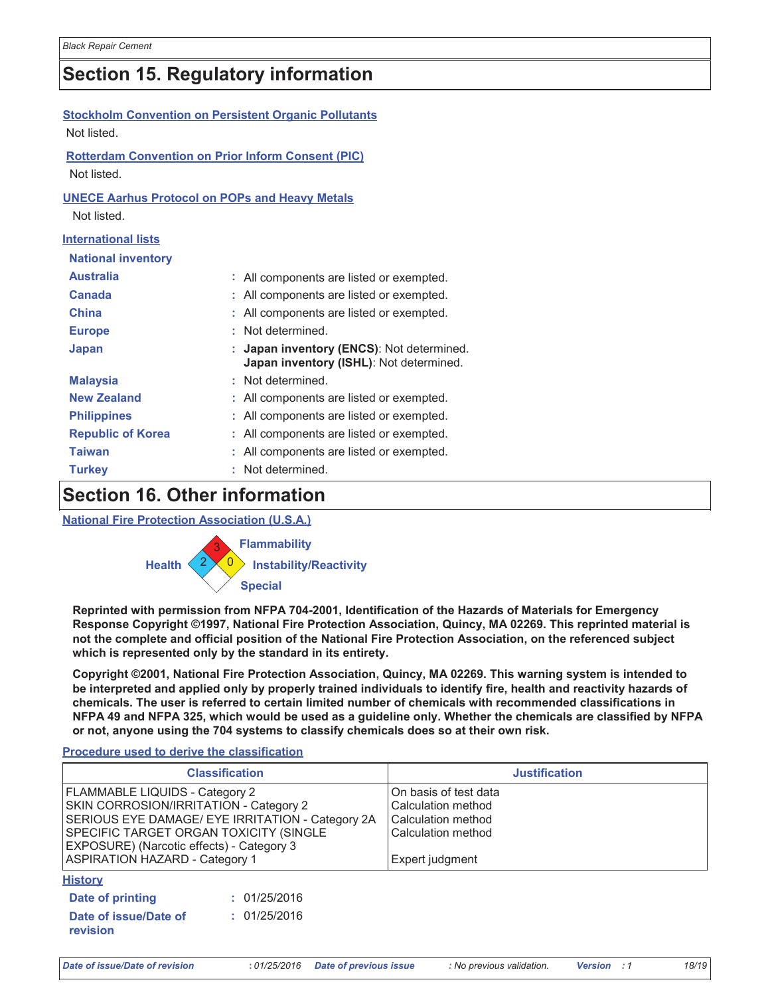## **Section 15. Regulatory information**

| <b>Stockholm Convention on Persistent Organic Pollutants</b> |    |                                                                                    |
|--------------------------------------------------------------|----|------------------------------------------------------------------------------------|
| Not listed.                                                  |    |                                                                                    |
| <b>Rotterdam Convention on Prior Inform Consent (PIC)</b>    |    |                                                                                    |
| Not listed.                                                  |    |                                                                                    |
| <b>UNECE Aarhus Protocol on POPs and Heavy Metals</b>        |    |                                                                                    |
| Not listed.                                                  |    |                                                                                    |
| <b>International lists</b>                                   |    |                                                                                    |
| <b>National inventory</b>                                    |    |                                                                                    |
| <b>Australia</b>                                             |    | : All components are listed or exempted.                                           |
| Canada                                                       |    | : All components are listed or exempted.                                           |
| <b>China</b>                                                 |    | All components are listed or exempted.                                             |
| <b>Europe</b>                                                | t. | Not determined.                                                                    |
| Japan                                                        |    | Japan inventory (ENCS): Not determined.<br>Japan inventory (ISHL): Not determined. |
| <b>Malaysia</b>                                              |    | : Not determined.                                                                  |
| <b>New Zealand</b>                                           |    | All components are listed or exempted.                                             |
| <b>Philippines</b>                                           |    | All components are listed or exempted.                                             |
| <b>Republic of Korea</b>                                     |    | All components are listed or exempted.                                             |
| <b>Taiwan</b>                                                |    | All components are listed or exempted.                                             |
| <b>Turkey</b>                                                |    | Not determined.                                                                    |

# **Section 16. Other information**

**National Fire Protection Association (U.S.A.)** 



Reprinted with permission from NFPA 704-2001, Identification of the Hazards of Materials for Emergency Response Copyright ©1997, National Fire Protection Association, Quincy, MA 02269. This reprinted material is not the complete and official position of the National Fire Protection Association, on the referenced subject which is represented only by the standard in its entirety.

Copyright ©2001, National Fire Protection Association, Quincy, MA 02269. This warning system is intended to be interpreted and applied only by properly trained individuals to identify fire, health and reactivity hazards of chemicals. The user is referred to certain limited number of chemicals with recommended classifications in NFPA 49 and NFPA 325, which would be used as a guideline only. Whether the chemicals are classified by NFPA or not, anyone using the 704 systems to classify chemicals does so at their own risk.

#### Procedure used to derive the classification

|                                                                                                                                                                                                                                                              | <b>Classification</b> |                                                                                                            | <b>Justification</b> |
|--------------------------------------------------------------------------------------------------------------------------------------------------------------------------------------------------------------------------------------------------------------|-----------------------|------------------------------------------------------------------------------------------------------------|----------------------|
| FLAMMABLE LIQUIDS - Category 2<br>SKIN CORROSION/IRRITATION - Category 2<br>SERIOUS EYE DAMAGE/ EYE IRRITATION - Category 2A<br>SPECIFIC TARGET ORGAN TOXICITY (SINGLE<br>EXPOSURE) (Narcotic effects) - Category 3<br><b>ASPIRATION HAZARD - Category 1</b> |                       | On basis of test data<br>Calculation method<br>Calculation method<br>Calculation method<br>Expert judgment |                      |
|                                                                                                                                                                                                                                                              |                       |                                                                                                            |                      |
| <b>History</b>                                                                                                                                                                                                                                               |                       |                                                                                                            |                      |
| Date of printing                                                                                                                                                                                                                                             | : 01/25/2016          |                                                                                                            |                      |
| Date of issue/Date of<br>revision                                                                                                                                                                                                                            | : 01/25/2016          |                                                                                                            |                      |